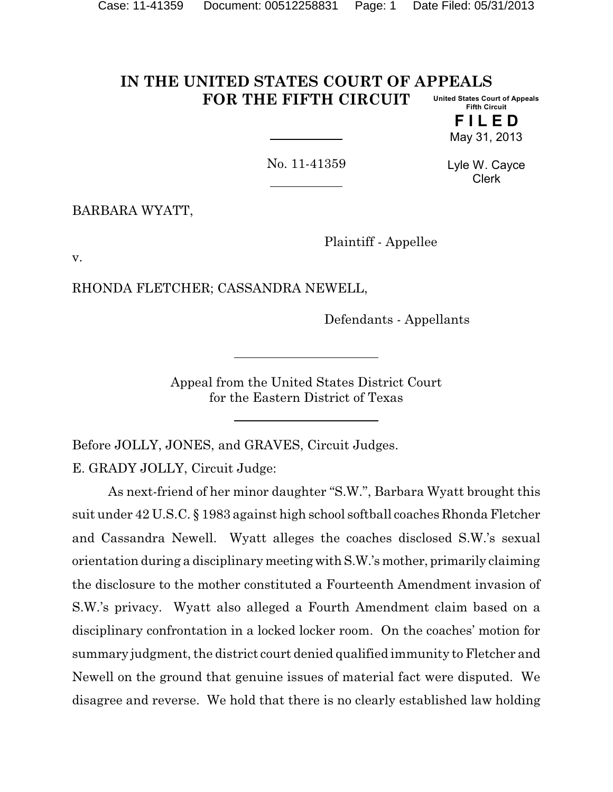#### **IN THE UNITED STATES COURT OF APPEALS FOR THE FIFTH CIRCUIT United States Court of Appeals Fifth Circuit**

**F I L E D** May 31, 2013

No. 11-41359

Lyle W. Cayce Clerk

BARBARA WYATT,

Plaintiff - Appellee

v.

RHONDA FLETCHER; CASSANDRA NEWELL,

Defendants - Appellants

Appeal from the United States District Court for the Eastern District of Texas

Before JOLLY, JONES, and GRAVES, Circuit Judges.

E. GRADY JOLLY, Circuit Judge:

As next-friend of her minor daughter "S.W.", Barbara Wyatt brought this suit under 42 U.S.C. § 1983 against high school softball coaches Rhonda Fletcher and Cassandra Newell. Wyatt alleges the coaches disclosed S.W.'s sexual orientation during a disciplinary meeting withS.W.'s mother, primarily claiming the disclosure to the mother constituted a Fourteenth Amendment invasion of S.W.'s privacy. Wyatt also alleged a Fourth Amendment claim based on a disciplinary confrontation in a locked locker room. On the coaches' motion for summary judgment, the district court denied qualified immunity to Fletcher and Newell on the ground that genuine issues of material fact were disputed. We disagree and reverse. We hold that there is no clearly established law holding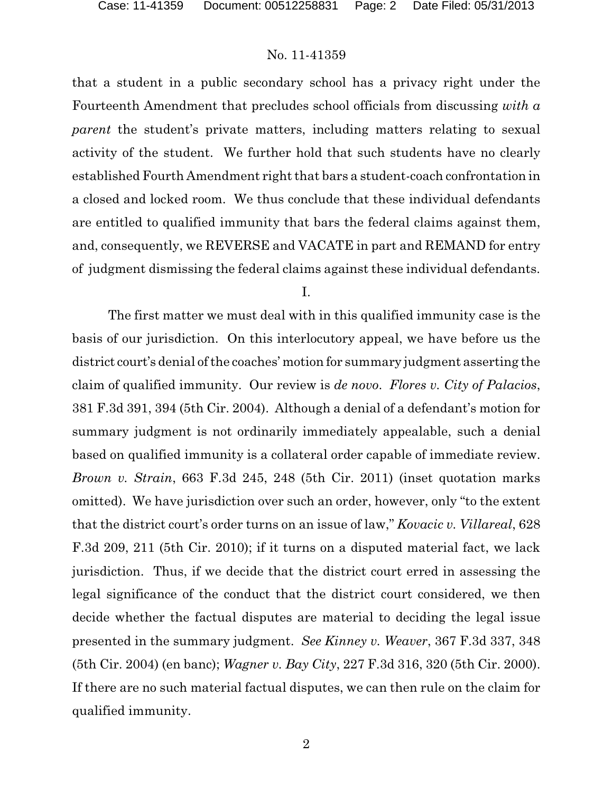that a student in a public secondary school has a privacy right under the Fourteenth Amendment that precludes school officials from discussing *with a parent* the student's private matters, including matters relating to sexual activity of the student. We further hold that such students have no clearly established Fourth Amendment right that bars a student-coach confrontation in a closed and locked room. We thus conclude that these individual defendants are entitled to qualified immunity that bars the federal claims against them, and, consequently, we REVERSE and VACATE in part and REMAND for entry of judgment dismissing the federal claims against these individual defendants.

#### I.

The first matter we must deal with in this qualified immunity case is the basis of our jurisdiction. On this interlocutory appeal, we have before us the district court's denial of the coaches' motion for summary judgment asserting the claim of qualified immunity. Our review is *de novo*. *Flores v. City of Palacios*, 381 F.3d 391, 394 (5th Cir. 2004). Although a denial of a defendant's motion for summary judgment is not ordinarily immediately appealable, such a denial based on qualified immunity is a collateral order capable of immediate review. *Brown v. Strain*, 663 F.3d 245, 248 (5th Cir. 2011) (inset quotation marks omitted). We have jurisdiction over such an order, however, only "to the extent that the district court's order turns on an issue of law," *Kovacic v. Villareal*, 628 F.3d 209, 211 (5th Cir. 2010); if it turns on a disputed material fact, we lack jurisdiction. Thus, if we decide that the district court erred in assessing the legal significance of the conduct that the district court considered, we then decide whether the factual disputes are material to deciding the legal issue presented in the summary judgment. *See Kinney v. Weaver*, 367 F.3d 337, 348 (5th Cir. 2004) (en banc); *Wagner v. Bay City*, 227 F.3d 316, 320 (5th Cir. 2000). If there are no such material factual disputes, we can then rule on the claim for qualified immunity.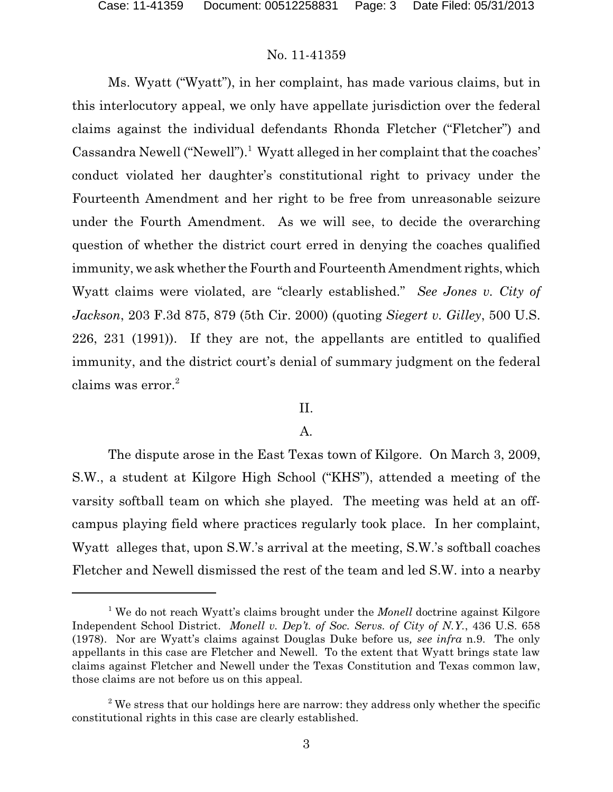Ms. Wyatt ("Wyatt"), in her complaint, has made various claims, but in this interlocutory appeal, we only have appellate jurisdiction over the federal claims against the individual defendants Rhonda Fletcher ("Fletcher") and Cassandra Newell ("Newell").<sup>1</sup> Wyatt alleged in her complaint that the coaches' conduct violated her daughter's constitutional right to privacy under the Fourteenth Amendment and her right to be free from unreasonable seizure under the Fourth Amendment. As we will see, to decide the overarching question of whether the district court erred in denying the coaches qualified immunity, we ask whether the Fourth and Fourteenth Amendment rights, which Wyatt claims were violated, are "clearly established." *See Jones v. City of Jackson*, 203 F.3d 875, 879 (5th Cir. 2000) (quoting *Siegert v. Gilley*, 500 U.S. 226, 231 (1991)). If they are not, the appellants are entitled to qualified immunity, and the district court's denial of summary judgment on the federal claims was error.<sup>2</sup>

#### II.

### A.

The dispute arose in the East Texas town of Kilgore. On March 3, 2009, S.W., a student at Kilgore High School ("KHS"), attended a meeting of the varsity softball team on which she played. The meeting was held at an offcampus playing field where practices regularly took place. In her complaint, Wyatt alleges that, upon S.W.'s arrival at the meeting, S.W.'s softball coaches Fletcher and Newell dismissed the rest of the team and led S.W. into a nearby

<sup>&</sup>lt;sup>1</sup> We do not reach Wyatt's claims brought under the *Monell* doctrine against Kilgore Independent School District. *Monell v. Dep't. of Soc. Servs. of City of N.Y.*, 436 U.S. 658 (1978). Nor are Wyatt's claims against Douglas Duke before us*, see infra* n.9. The only appellants in this case are Fletcher and Newell. To the extent that Wyatt brings state law claims against Fletcher and Newell under the Texas Constitution and Texas common law, those claims are not before us on this appeal.

 $2$ <sup>2</sup> We stress that our holdings here are narrow: they address only whether the specific constitutional rights in this case are clearly established.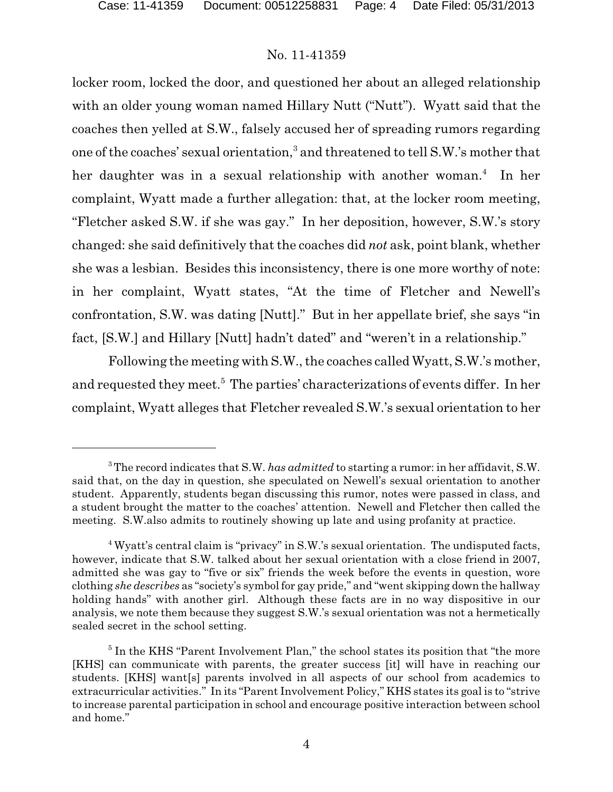locker room, locked the door, and questioned her about an alleged relationship with an older young woman named Hillary Nutt ("Nutt"). Wyatt said that the coaches then yelled at S.W., falsely accused her of spreading rumors regarding one of the coaches' sexual orientation, $^3$  and threatened to tell S.W.'s mother that her daughter was in a sexual relationship with another woman.<sup>4</sup> In her complaint, Wyatt made a further allegation: that, at the locker room meeting, "Fletcher asked S.W. if she was gay." In her deposition, however, S.W.'s story changed: she said definitively that the coaches did *not* ask, point blank, whether she was a lesbian. Besides this inconsistency, there is one more worthy of note: in her complaint, Wyatt states, "At the time of Fletcher and Newell's confrontation, S.W. was dating [Nutt]." But in her appellate brief, she says "in fact, [S.W.] and Hillary [Nutt] hadn't dated" and "weren't in a relationship."

Following the meeting with S.W., the coaches called Wyatt, S.W.'s mother, and requested they meet.<sup>5</sup> The parties' characterizations of events differ. In her complaint, Wyatt alleges that Fletcher revealed S.W.'s sexual orientation to her

<sup>3</sup> The record indicates that S.W. *has admitted* to starting a rumor: in her affidavit, S.W. said that, on the day in question, she speculated on Newell's sexual orientation to another student. Apparently, students began discussing this rumor, notes were passed in class, and a student brought the matter to the coaches' attention. Newell and Fletcher then called the meeting. S.W.also admits to routinely showing up late and using profanity at practice.

<sup>4</sup> Wyatt's central claim is "privacy" in S.W.'s sexual orientation. The undisputed facts, however, indicate that S.W. talked about her sexual orientation with a close friend in 2007, admitted she was gay to "five or six" friends the week before the events in question, wore clothing *she describes* as "society's symbol for gay pride," and "went skipping down the hallway holding hands" with another girl. Although these facts are in no way dispositive in our analysis, we note them because they suggest S.W.'s sexual orientation was not a hermetically sealed secret in the school setting.

<sup>&</sup>lt;sup>5</sup> In the KHS "Parent Involvement Plan," the school states its position that "the more [KHS] can communicate with parents, the greater success [it] will have in reaching our students. [KHS] want[s] parents involved in all aspects of our school from academics to extracurricular activities." In its "Parent Involvement Policy," KHS states its goal is to "strive to increase parental participation in school and encourage positive interaction between school and home."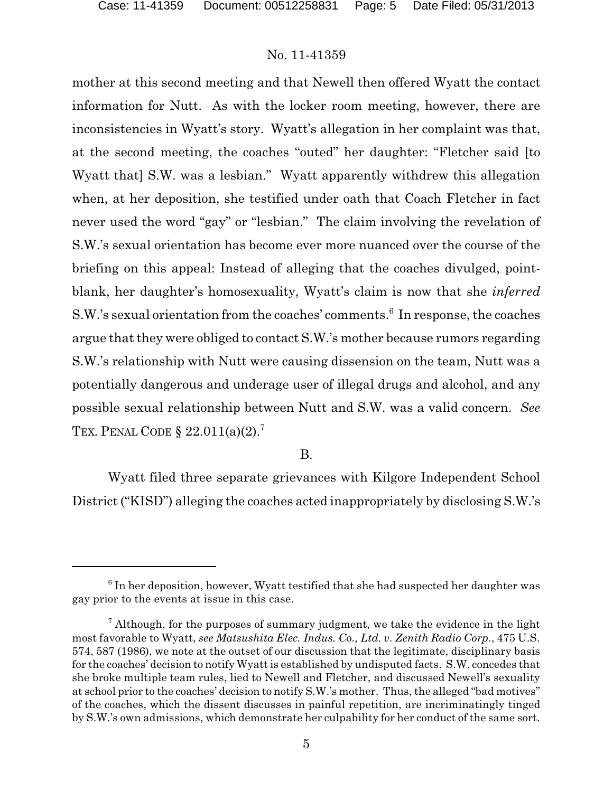mother at this second meeting and that Newell then offered Wyatt the contact information for Nutt. As with the locker room meeting, however, there are inconsistencies in Wyatt's story. Wyatt's allegation in her complaint was that, at the second meeting, the coaches "outed" her daughter: "Fletcher said [to Wyatt that] S.W. was a lesbian." Wyatt apparently withdrew this allegation when, at her deposition, she testified under oath that Coach Fletcher in fact never used the word "gay" or "lesbian." The claim involving the revelation of S.W.'s sexual orientation has become ever more nuanced over the course of the briefing on this appeal: Instead of alleging that the coaches divulged, pointblank, her daughter's homosexuality, Wyatt's claim is now that she *inferred* S.W.'s sexual orientation from the coaches' comments.<sup>6</sup> In response, the coaches argue that they were obliged to contact S.W.'s mother because rumors regarding S.W.'s relationship with Nutt were causing dissension on the team, Nutt was a potentially dangerous and underage user of illegal drugs and alcohol, and any possible sexual relationship between Nutt and S.W. was a valid concern. *See* TEX. PENAL CODE  $\S 22.011(a)(2)$ .<sup>7</sup>

B.

Wyatt filed three separate grievances with Kilgore Independent School District ("KISD") alleging the coaches acted inappropriately by disclosing S.W.'s

 $^6$  In her deposition, however, Wyatt testified that she had suspected her daughter was gay prior to the events at issue in this case.

 $7$  Although, for the purposes of summary judgment, we take the evidence in the light most favorable to Wyatt, *see Matsushita Elec. Indus. Co., Ltd. v. Zenith Radio Corp.*, 475 U.S. 574, 587 (1986), we note at the outset of our discussion that the legitimate, disciplinary basis for the coaches' decision to notify Wyatt is established by undisputed facts. S.W. concedes that she broke multiple team rules, lied to Newell and Fletcher, and discussed Newell's sexuality at school prior to the coaches' decision to notify S.W.'s mother. Thus, the alleged "bad motives" of the coaches, which the dissent discusses in painful repetition, are incriminatingly tinged by S.W.'s own admissions, which demonstrate her culpability for her conduct of the same sort.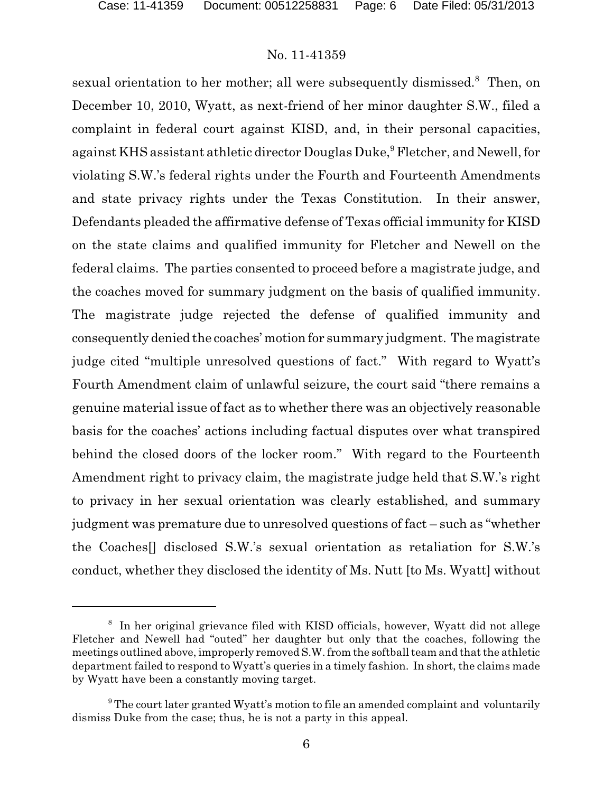sexual orientation to her mother; all were subsequently dismissed.<sup>8</sup> Then, on December 10, 2010, Wyatt, as next-friend of her minor daughter S.W., filed a complaint in federal court against KISD, and, in their personal capacities, against KHS assistant athletic director Douglas Duke,<sup>9</sup> Fletcher, and Newell, for violating S.W.'s federal rights under the Fourth and Fourteenth Amendments and state privacy rights under the Texas Constitution. In their answer, Defendants pleaded the affirmative defense of Texas official immunity for KISD on the state claims and qualified immunity for Fletcher and Newell on the federal claims. The parties consented to proceed before a magistrate judge, and the coaches moved for summary judgment on the basis of qualified immunity. The magistrate judge rejected the defense of qualified immunity and consequently denied the coaches' motion for summary judgment. The magistrate judge cited "multiple unresolved questions of fact." With regard to Wyatt's Fourth Amendment claim of unlawful seizure, the court said "there remains a genuine material issue of fact as to whether there was an objectively reasonable basis for the coaches' actions including factual disputes over what transpired behind the closed doors of the locker room." With regard to the Fourteenth Amendment right to privacy claim, the magistrate judge held that S.W.'s right to privacy in her sexual orientation was clearly established, and summary judgment was premature due to unresolved questions of fact – such as "whether the Coaches[] disclosed S.W.'s sexual orientation as retaliation for S.W.'s conduct, whether they disclosed the identity of Ms. Nutt [to Ms. Wyatt] without

<sup>8</sup> In her original grievance filed with KISD officials, however, Wyatt did not allege Fletcher and Newell had "outed" her daughter but only that the coaches, following the meetings outlined above, improperly removed S.W. from the softball team and that the athletic department failed to respond to Wyatt's queries in a timely fashion. In short, the claims made by Wyatt have been a constantly moving target.

<sup>&</sup>lt;sup>9</sup> The court later granted Wyatt's motion to file an amended complaint and voluntarily dismiss Duke from the case; thus, he is not a party in this appeal.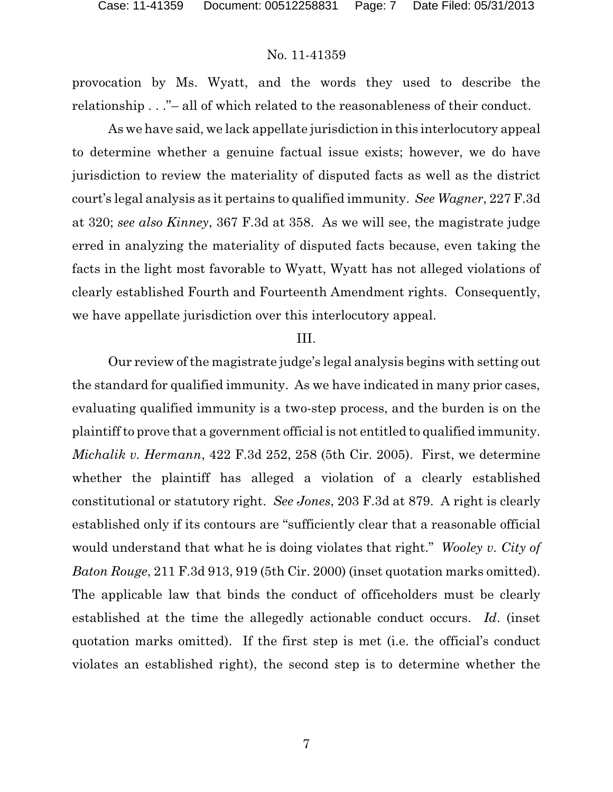provocation by Ms. Wyatt, and the words they used to describe the relationship . . ." – all of which related to the reasonableness of their conduct.

As we have said, we lack appellate jurisdiction in this interlocutory appeal to determine whether a genuine factual issue exists; however, we do have jurisdiction to review the materiality of disputed facts as well as the district court's legal analysis as it pertains to qualified immunity. *See Wagner*, 227 F.3d at 320; *see also Kinney*, 367 F.3d at 358. As we will see, the magistrate judge erred in analyzing the materiality of disputed facts because, even taking the facts in the light most favorable to Wyatt, Wyatt has not alleged violations of clearly established Fourth and Fourteenth Amendment rights. Consequently, we have appellate jurisdiction over this interlocutory appeal.

#### III.

Our review of the magistrate judge's legal analysis begins with setting out the standard for qualified immunity. As we have indicated in many prior cases, evaluating qualified immunity is a two-step process, and the burden is on the plaintiff to prove that a government official is not entitled to qualified immunity. *Michalik v. Hermann*, 422 F.3d 252, 258 (5th Cir. 2005). First, we determine whether the plaintiff has alleged a violation of a clearly established constitutional or statutory right. *See Jones*, 203 F.3d at 879. A right is clearly established only if its contours are "sufficiently clear that a reasonable official would understand that what he is doing violates that right." *Wooley v. City of Baton Rouge*, 211 F.3d 913, 919 (5th Cir. 2000) (inset quotation marks omitted). The applicable law that binds the conduct of officeholders must be clearly established at the time the allegedly actionable conduct occurs. *Id*. (inset quotation marks omitted). If the first step is met (i.e. the official's conduct violates an established right), the second step is to determine whether the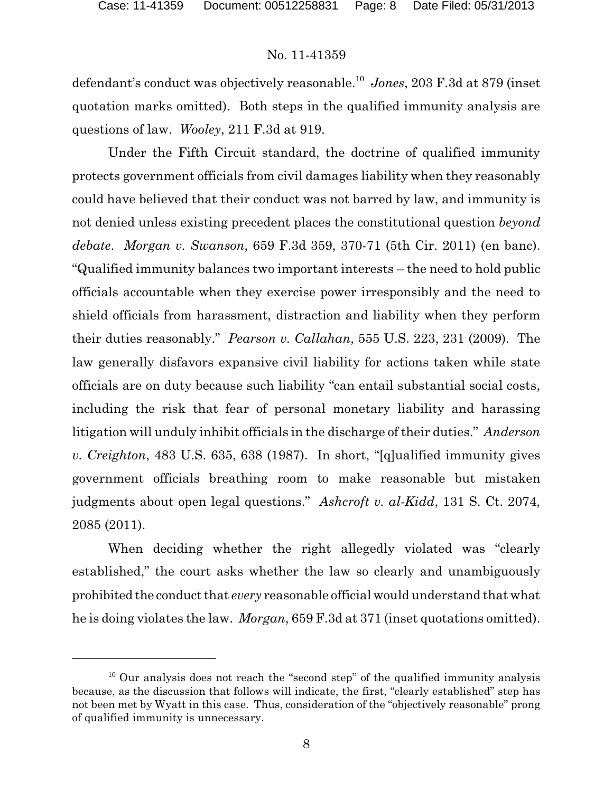defendant's conduct was objectively reasonable.<sup>10</sup> *Jones*, 203 F.3d at 879 (inset quotation marks omitted). Both steps in the qualified immunity analysis are questions of law. *Wooley*, 211 F.3d at 919.

Under the Fifth Circuit standard, the doctrine of qualified immunity protects government officials from civil damages liability when they reasonably could have believed that their conduct was not barred by law, and immunity is not denied unless existing precedent places the constitutional question *beyond debate*. *Morgan v. Swanson*, 659 F.3d 359, 370-71 (5th Cir. 2011) (en banc). "Qualified immunity balances two important interests – the need to hold public officials accountable when they exercise power irresponsibly and the need to shield officials from harassment, distraction and liability when they perform their duties reasonably." *Pearson v. Callahan*, 555 U.S. 223, 231 (2009). The law generally disfavors expansive civil liability for actions taken while state officials are on duty because such liability "can entail substantial social costs, including the risk that fear of personal monetary liability and harassing litigation will unduly inhibit officials in the discharge of their duties." *Anderson v. Creighton*, 483 U.S. 635, 638 (1987). In short, "[q]ualified immunity gives government officials breathing room to make reasonable but mistaken judgments about open legal questions." *Ashcroft v. al-Kidd*, 131 S. Ct. 2074, 2085 (2011).

When deciding whether the right allegedly violated was "clearly established," the court asks whether the law so clearly and unambiguously prohibited the conduct that *every* reasonable official would understand that what he is doing violates the law. *Morgan*, 659 F.3d at 371 (inset quotations omitted).

 $10$  Our analysis does not reach the "second step" of the qualified immunity analysis because, as the discussion that follows will indicate, the first, "clearly established" step has not been met by Wyatt in this case. Thus, consideration of the "objectively reasonable" prong of qualified immunity is unnecessary.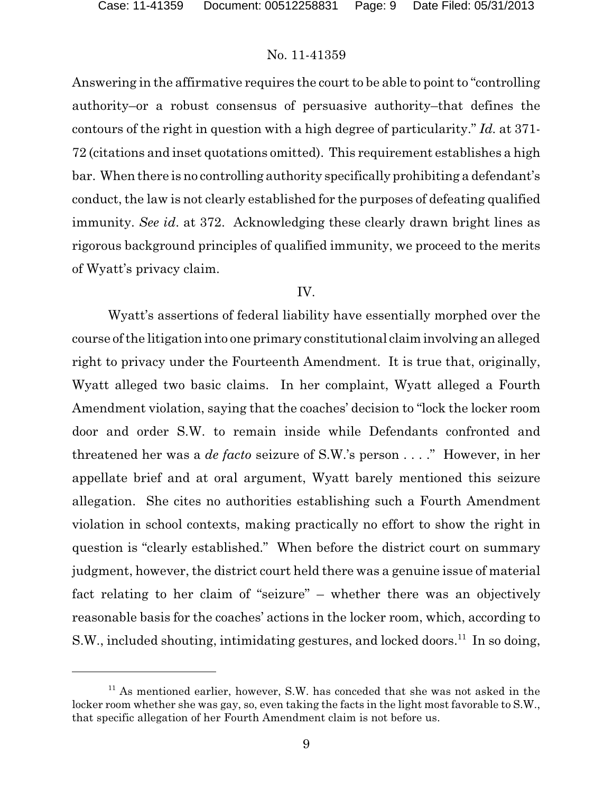Answering in the affirmative requires the court to be able to point to "controlling authority–or a robust consensus of persuasive authority–that defines the contours of the right in question with a high degree of particularity." *Id.* at 371- 72 (citations and inset quotations omitted). This requirement establishes a high bar. When there is no controlling authority specifically prohibiting a defendant's conduct, the law is not clearly established for the purposes of defeating qualified immunity. *See id*. at 372. Acknowledging these clearly drawn bright lines as rigorous background principles of qualified immunity, we proceed to the merits of Wyatt's privacy claim.

#### IV.

Wyatt's assertions of federal liability have essentially morphed over the course of the litigation into one primary constitutional claim involving an alleged right to privacy under the Fourteenth Amendment. It is true that, originally, Wyatt alleged two basic claims. In her complaint, Wyatt alleged a Fourth Amendment violation, saying that the coaches' decision to "lock the locker room door and order S.W. to remain inside while Defendants confronted and threatened her was a *de facto* seizure of S.W.'s person . . . ." However, in her appellate brief and at oral argument, Wyatt barely mentioned this seizure allegation. She cites no authorities establishing such a Fourth Amendment violation in school contexts, making practically no effort to show the right in question is "clearly established." When before the district court on summary judgment, however, the district court held there was a genuine issue of material fact relating to her claim of "seizure" – whether there was an objectively reasonable basis for the coaches' actions in the locker room, which, according to S.W., included shouting, intimidating gestures, and locked doors.<sup>11</sup> In so doing,

 $11$  As mentioned earlier, however, S.W. has conceded that she was not asked in the locker room whether she was gay, so, even taking the facts in the light most favorable to S.W., that specific allegation of her Fourth Amendment claim is not before us.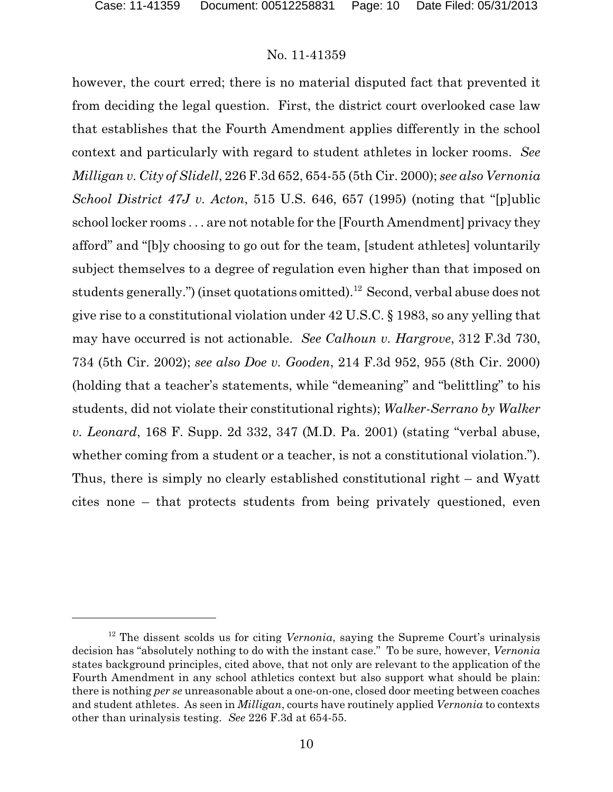however, the court erred; there is no material disputed fact that prevented it from deciding the legal question. First, the district court overlooked case law that establishes that the Fourth Amendment applies differently in the school context and particularly with regard to student athletes in locker rooms. *See Milligan v. City of Slidell*, 226 F.3d 652, 654-55 (5th Cir. 2000); *see also Vernonia School District 47J v. Acton*, 515 U.S. 646, 657 (1995) (noting that "[p]ublic school locker rooms . . . are not notable for the [Fourth Amendment] privacy they afford" and "[b]y choosing to go out for the team, [student athletes] voluntarily subject themselves to a degree of regulation even higher than that imposed on students generally.") (inset quotations omitted).<sup>12</sup> Second, verbal abuse does not give rise to a constitutional violation under 42 U.S.C. § 1983, so any yelling that may have occurred is not actionable. *See Calhoun v. Hargrove*, 312 F.3d 730, 734 (5th Cir. 2002); *see also Doe v. Gooden*, 214 F.3d 952, 955 (8th Cir. 2000) (holding that a teacher's statements, while "demeaning" and "belittling" to his students, did not violate their constitutional rights); *Walker-Serrano by Walker v. Leonard*, 168 F. Supp. 2d 332, 347 (M.D. Pa. 2001) (stating "verbal abuse, whether coming from a student or a teacher, is not a constitutional violation."). Thus, there is simply no clearly established constitutional right – and Wyatt cites none – that protects students from being privately questioned, even

<sup>&</sup>lt;sup>12</sup> The dissent scolds us for citing *Vernonia*, saying the Supreme Court's urinalysis decision has "absolutely nothing to do with the instant case." To be sure, however, *Vernonia* states background principles, cited above, that not only are relevant to the application of the Fourth Amendment in any school athletics context but also support what should be plain: there is nothing *per se* unreasonable about a one-on-one, closed door meeting between coaches and student athletes. As seen in *Milligan*, courts have routinely applied *Vernonia* to contexts other than urinalysis testing. *See* 226 F.3d at 654-55.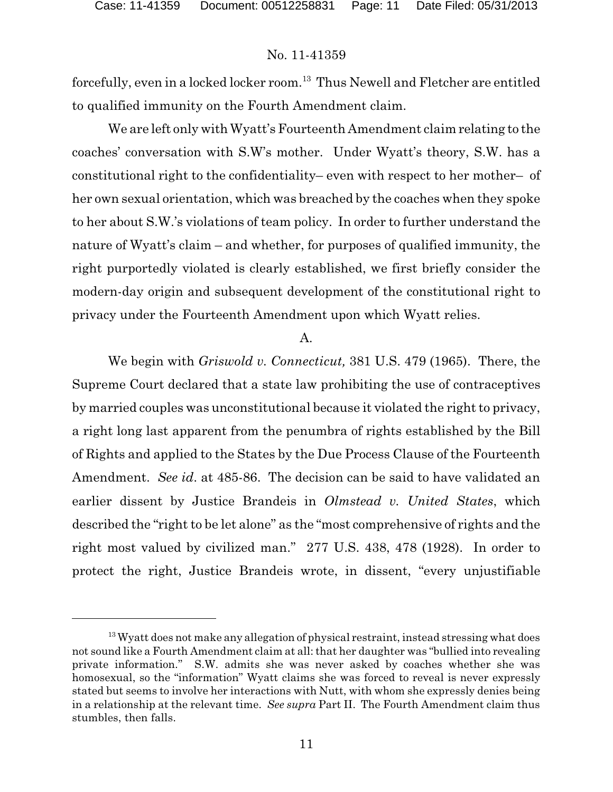forcefully, even in a locked locker room.<sup>13</sup> Thus Newell and Fletcher are entitled to qualified immunity on the Fourth Amendment claim.

We are left only with Wyatt's Fourteenth Amendment claim relating to the coaches' conversation with S.W's mother. Under Wyatt's theory, S.W. has a constitutional right to the confidentiality– even with respect to her mother– of her own sexual orientation, which was breached by the coaches when they spoke to her about S.W.'s violations of team policy. In order to further understand the nature of Wyatt's claim – and whether, for purposes of qualified immunity, the right purportedly violated is clearly established, we first briefly consider the modern-day origin and subsequent development of the constitutional right to privacy under the Fourteenth Amendment upon which Wyatt relies.

#### $\mathbf{A}$ .

We begin with *Griswold v. Connecticut,* 381 U.S. 479 (1965). There, the Supreme Court declared that a state law prohibiting the use of contraceptives by married couples was unconstitutional because it violated the right to privacy, a right long last apparent from the penumbra of rights established by the Bill of Rights and applied to the States by the Due Process Clause of the Fourteenth Amendment. *See id*. at 485-86. The decision can be said to have validated an earlier dissent by Justice Brandeis in *Olmstead v. United States*, which described the "right to be let alone" as the "most comprehensive of rights and the right most valued by civilized man." 277 U.S. 438, 478 (1928). In order to protect the right, Justice Brandeis wrote, in dissent, "every unjustifiable

 $13$  Wyatt does not make any allegation of physical restraint, instead stressing what does not sound like a Fourth Amendment claim at all: that her daughter was "bullied into revealing private information." S.W. admits she was never asked by coaches whether she was homosexual, so the "information" Wyatt claims she was forced to reveal is never expressly stated but seems to involve her interactions with Nutt, with whom she expressly denies being in a relationship at the relevant time. *See supra* Part II. The Fourth Amendment claim thus stumbles, then falls.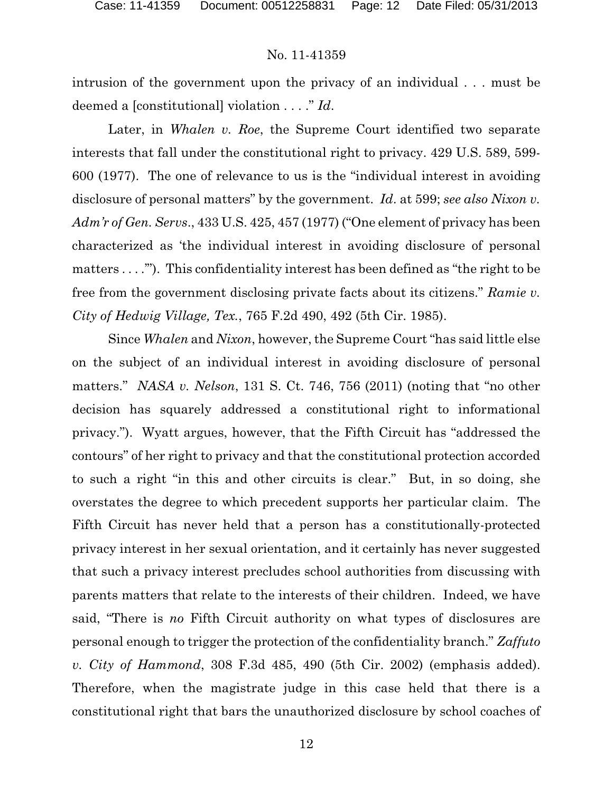intrusion of the government upon the privacy of an individual . . . must be deemed a [constitutional] violation . . . ." *Id*.

Later, in *Whalen v. Roe*, the Supreme Court identified two separate interests that fall under the constitutional right to privacy. 429 U.S. 589, 599- 600 (1977). The one of relevance to us is the "individual interest in avoiding disclosure of personal matters" by the government. *Id*. at 599; *see also Nixon v. Adm'r of Gen. Servs*., 433 U.S. 425, 457 (1977) ("One element of privacy has been characterized as 'the individual interest in avoiding disclosure of personal matters . . . .'"). This confidentiality interest has been defined as "the right to be free from the government disclosing private facts about its citizens." *Ramie v. City of Hedwig Village, Tex.*, 765 F.2d 490, 492 (5th Cir. 1985).

Since *Whalen* and *Nixon*, however, the Supreme Court "has said little else on the subject of an individual interest in avoiding disclosure of personal matters." *NASA v. Nelson*, 131 S. Ct. 746, 756 (2011) (noting that "no other decision has squarely addressed a constitutional right to informational privacy."). Wyatt argues, however, that the Fifth Circuit has "addressed the contours" of her right to privacy and that the constitutional protection accorded to such a right "in this and other circuits is clear." But, in so doing, she overstates the degree to which precedent supports her particular claim. The Fifth Circuit has never held that a person has a constitutionally-protected privacy interest in her sexual orientation, and it certainly has never suggested that such a privacy interest precludes school authorities from discussing with parents matters that relate to the interests of their children. Indeed, we have said, "There is *no* Fifth Circuit authority on what types of disclosures are personal enough to trigger the protection of the confidentiality branch." *Zaffuto v. City of Hammond*, 308 F.3d 485, 490 (5th Cir. 2002) (emphasis added). Therefore, when the magistrate judge in this case held that there is a constitutional right that bars the unauthorized disclosure by school coaches of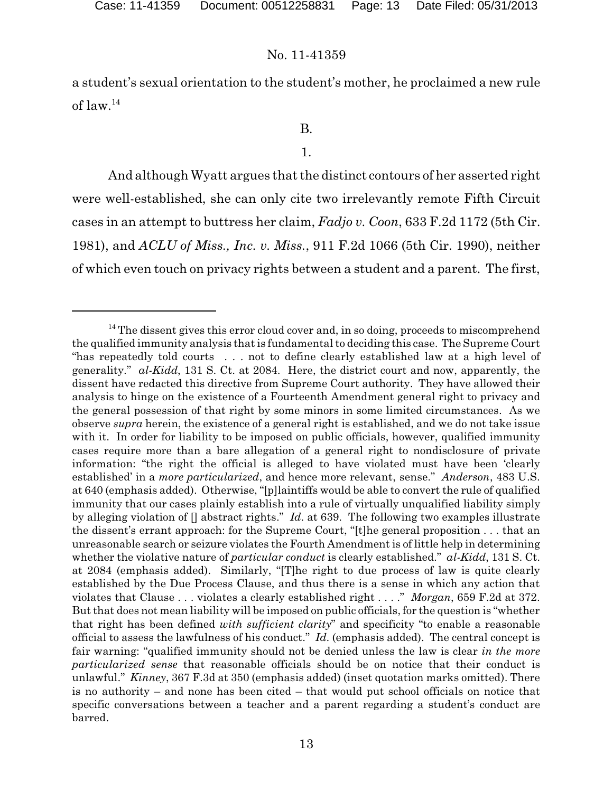a student's sexual orientation to the student's mother, he proclaimed a new rule of law.<sup>14</sup>

# B.

#### 1.

And although Wyatt argues that the distinct contours of her asserted right were well-established, she can only cite two irrelevantly remote Fifth Circuit cases in an attempt to buttress her claim, *Fadjo v. Coon*, 633 F.2d 1172 (5th Cir. 1981), and *ACLU of Miss., Inc. v. Miss.*, 911 F.2d 1066 (5th Cir. 1990), neither of which even touch on privacy rights between a student and a parent. The first,

 $14$  The dissent gives this error cloud cover and, in so doing, proceeds to miscomprehend the qualified immunity analysis that is fundamental to deciding this case. The Supreme Court "has repeatedly told courts . . . not to define clearly established law at a high level of generality." *al-Kidd*, 131 S. Ct. at 2084. Here, the district court and now, apparently, the dissent have redacted this directive from Supreme Court authority. They have allowed their analysis to hinge on the existence of a Fourteenth Amendment general right to privacy and the general possession of that right by some minors in some limited circumstances. As we observe *supra* herein, the existence of a general right is established, and we do not take issue with it. In order for liability to be imposed on public officials, however, qualified immunity cases require more than a bare allegation of a general right to nondisclosure of private information: "the right the official is alleged to have violated must have been 'clearly established' in a *more particularized*, and hence more relevant, sense." *Anderson*, 483 U.S. at 640 (emphasis added). Otherwise, "[p]laintiffs would be able to convert the rule of qualified immunity that our cases plainly establish into a rule of virtually unqualified liability simply by alleging violation of [] abstract rights." *Id*. at 639. The following two examples illustrate the dissent's errant approach: for the Supreme Court, "[t]he general proposition . . . that an unreasonable search or seizure violates the Fourth Amendment is of little help in determining whether the violative nature of *particular conduct* is clearly established." *al-Kidd*, 131 S. Ct. at 2084 (emphasis added). Similarly, "[T]he right to due process of law is quite clearly established by the Due Process Clause, and thus there is a sense in which any action that violates that Clause . . . violates a clearly established right . . . ." *Morgan*, 659 F.2d at 372. But that does not mean liability will be imposed on public officials, for the question is "whether that right has been defined *with sufficient clarity*" and specificity "to enable a reasonable official to assess the lawfulness of his conduct." *Id*. (emphasis added). The central concept is fair warning: "qualified immunity should not be denied unless the law is clear *in the more particularized sense* that reasonable officials should be on notice that their conduct is unlawful." *Kinney*, 367 F.3d at 350 (emphasis added) (inset quotation marks omitted). There is no authority – and none has been cited – that would put school officials on notice that specific conversations between a teacher and a parent regarding a student's conduct are barred.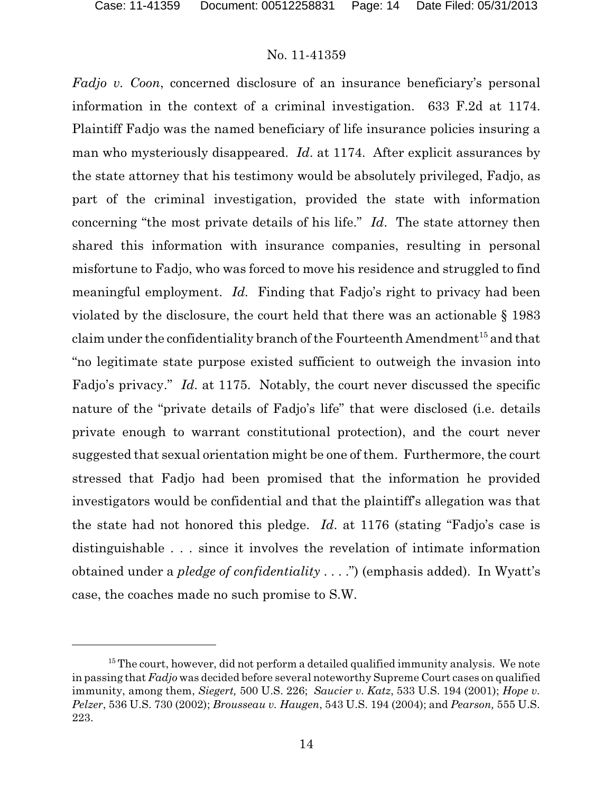*Fadjo v. Coon*, concerned disclosure of an insurance beneficiary's personal information in the context of a criminal investigation. 633 F.2d at 1174. Plaintiff Fadjo was the named beneficiary of life insurance policies insuring a man who mysteriously disappeared. *Id*. at 1174. After explicit assurances by the state attorney that his testimony would be absolutely privileged, Fadjo, as part of the criminal investigation, provided the state with information concerning "the most private details of his life." *Id*. The state attorney then shared this information with insurance companies, resulting in personal misfortune to Fadjo, who was forced to move his residence and struggled to find meaningful employment. *Id.* Finding that Fadjo's right to privacy had been violated by the disclosure, the court held that there was an actionable § 1983 claim under the confidentiality branch of the Fourteenth Amendment $^{\rm 15}$  and that "no legitimate state purpose existed sufficient to outweigh the invasion into Fadjo's privacy." *Id*. at 1175. Notably, the court never discussed the specific nature of the "private details of Fadjo's life" that were disclosed (i.e. details private enough to warrant constitutional protection), and the court never suggested that sexual orientation might be one of them. Furthermore, the court stressed that Fadjo had been promised that the information he provided investigators would be confidential and that the plaintiff's allegation was that the state had not honored this pledge. *Id*. at 1176 (stating "Fadjo's case is distinguishable . . . since it involves the revelation of intimate information obtained under a *pledge of confidentiality* . . . .") (emphasis added). In Wyatt's case, the coaches made no such promise to S.W.

 $15$  The court, however, did not perform a detailed qualified immunity analysis. We note in passing that *Fadjo* was decided before several noteworthy Supreme Court cases on qualified immunity, among them, *Siegert,* 500 U.S. 226; *Saucier v. Katz*, 533 U.S. 194 (2001); *Hope v. Pelzer*, 536 U.S. 730 (2002); *Brousseau v. Haugen*, 543 U.S. 194 (2004); and *Pearson,* 555 U.S. 223.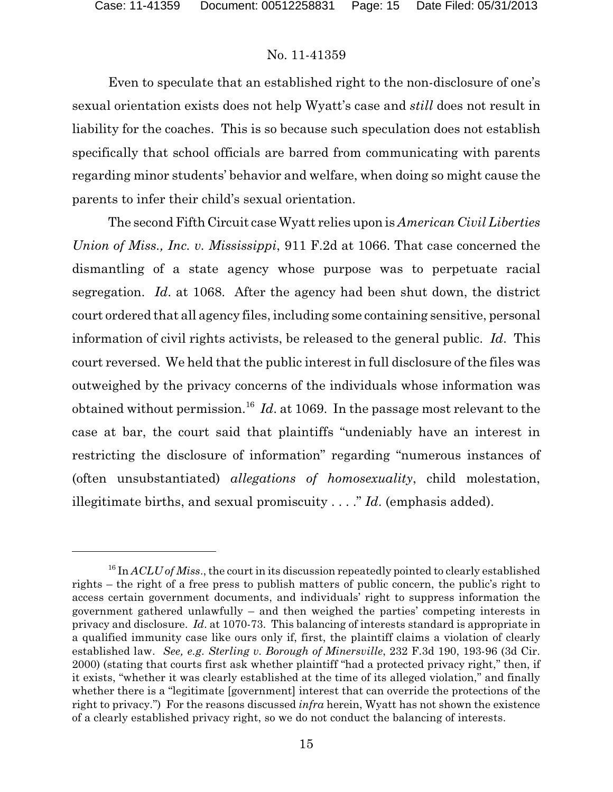Even to speculate that an established right to the non-disclosure of one's sexual orientation exists does not help Wyatt's case and *still* does not result in liability for the coaches. This is so because such speculation does not establish specifically that school officials are barred from communicating with parents regarding minor students' behavior and welfare, when doing so might cause the parents to infer their child's sexual orientation.

The second Fifth Circuit case Wyatt relies upon is *American Civil Liberties Union of Miss., Inc. v. Mississippi*, 911 F.2d at 1066. That case concerned the dismantling of a state agency whose purpose was to perpetuate racial segregation. *Id*. at 1068. After the agency had been shut down, the district court ordered that all agency files, including some containing sensitive, personal information of civil rights activists, be released to the general public. *Id*. This court reversed. We held that the public interest in full disclosure of the files was outweighed by the privacy concerns of the individuals whose information was obtained without permission.<sup>16</sup> Id. at 1069. In the passage most relevant to the case at bar, the court said that plaintiffs "undeniably have an interest in restricting the disclosure of information" regarding "numerous instances of (often unsubstantiated) *allegations of homosexuality*, child molestation, illegitimate births, and sexual promiscuity . . . ." *Id*. (emphasis added).

<sup>&</sup>lt;sup>16</sup> In *ACLU of Miss.*, the court in its discussion repeatedly pointed to clearly established rights – the right of a free press to publish matters of public concern, the public's right to access certain government documents, and individuals' right to suppress information the government gathered unlawfully – and then weighed the parties' competing interests in privacy and disclosure. *Id*. at 1070-73. This balancing of interests standard is appropriate in a qualified immunity case like ours only if, first, the plaintiff claims a violation of clearly established law. *See, e.g. Sterling v. Borough of Minersville*, 232 F.3d 190, 193-96 (3d Cir. 2000) (stating that courts first ask whether plaintiff "had a protected privacy right," then, if it exists, "whether it was clearly established at the time of its alleged violation," and finally whether there is a "legitimate [government] interest that can override the protections of the right to privacy.") For the reasons discussed *infra* herein, Wyatt has not shown the existence of a clearly established privacy right, so we do not conduct the balancing of interests.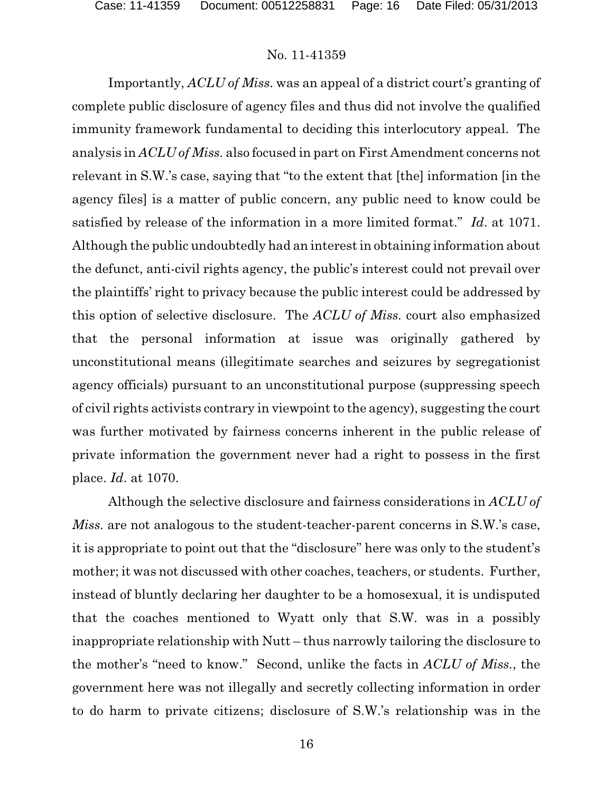Importantly, *ACLU of Miss*. was an appeal of a district court's granting of complete public disclosure of agency files and thus did not involve the qualified immunity framework fundamental to deciding this interlocutory appeal. The analysis in *ACLU of Miss.* also focused in part on First Amendment concerns not relevant in S.W.'s case, saying that "to the extent that [the] information [in the agency files] is a matter of public concern, any public need to know could be satisfied by release of the information in a more limited format." *Id*. at 1071. Although the public undoubtedly had an interest in obtaining information about the defunct, anti-civil rights agency, the public's interest could not prevail over the plaintiffs' right to privacy because the public interest could be addressed by this option of selective disclosure. The *ACLU of Miss.* court also emphasized that the personal information at issue was originally gathered by unconstitutional means (illegitimate searches and seizures by segregationist agency officials) pursuant to an unconstitutional purpose (suppressing speech of civil rights activists contrary in viewpoint to the agency), suggesting the court was further motivated by fairness concerns inherent in the public release of private information the government never had a right to possess in the first place. *Id*. at 1070.

Although the selective disclosure and fairness considerations in *ACLU of Miss.* are not analogous to the student-teacher-parent concerns in S.W.'s case, it is appropriate to point out that the "disclosure" here was only to the student's mother; it was not discussed with other coaches, teachers, or students. Further, instead of bluntly declaring her daughter to be a homosexual, it is undisputed that the coaches mentioned to Wyatt only that S.W. was in a possibly inappropriate relationship with Nutt – thus narrowly tailoring the disclosure to the mother's "need to know." Second, unlike the facts in *ACLU of Miss.*, the government here was not illegally and secretly collecting information in order to do harm to private citizens; disclosure of S.W.'s relationship was in the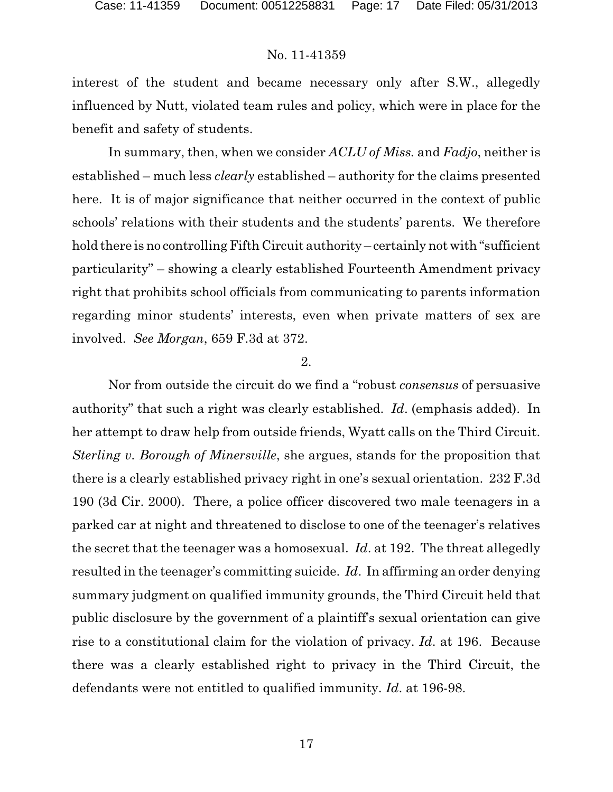interest of the student and became necessary only after S.W., allegedly influenced by Nutt, violated team rules and policy, which were in place for the benefit and safety of students.

In summary, then, when we consider *ACLU of Miss.* and *Fadjo*, neither is established – much less *clearly* established – authority for the claims presented here. It is of major significance that neither occurred in the context of public schools' relations with their students and the students' parents. We therefore hold there is no controlling Fifth Circuit authority – certainly not with "sufficient" particularity" – showing a clearly established Fourteenth Amendment privacy right that prohibits school officials from communicating to parents information regarding minor students' interests, even when private matters of sex are involved. *See Morgan*, 659 F.3d at 372.

#### 2.

Nor from outside the circuit do we find a "robust *consensus* of persuasive authority" that such a right was clearly established. *Id*. (emphasis added). In her attempt to draw help from outside friends, Wyatt calls on the Third Circuit. *Sterling v. Borough of Minersville*, she argues, stands for the proposition that there is a clearly established privacy right in one's sexual orientation. 232 F.3d 190 (3d Cir. 2000). There, a police officer discovered two male teenagers in a parked car at night and threatened to disclose to one of the teenager's relatives the secret that the teenager was a homosexual. *Id*. at 192. The threat allegedly resulted in the teenager's committing suicide. *Id*. In affirming an order denying summary judgment on qualified immunity grounds, the Third Circuit held that public disclosure by the government of a plaintiff's sexual orientation can give rise to a constitutional claim for the violation of privacy. *Id*. at 196. Because there was a clearly established right to privacy in the Third Circuit, the defendants were not entitled to qualified immunity. *Id*. at 196-98.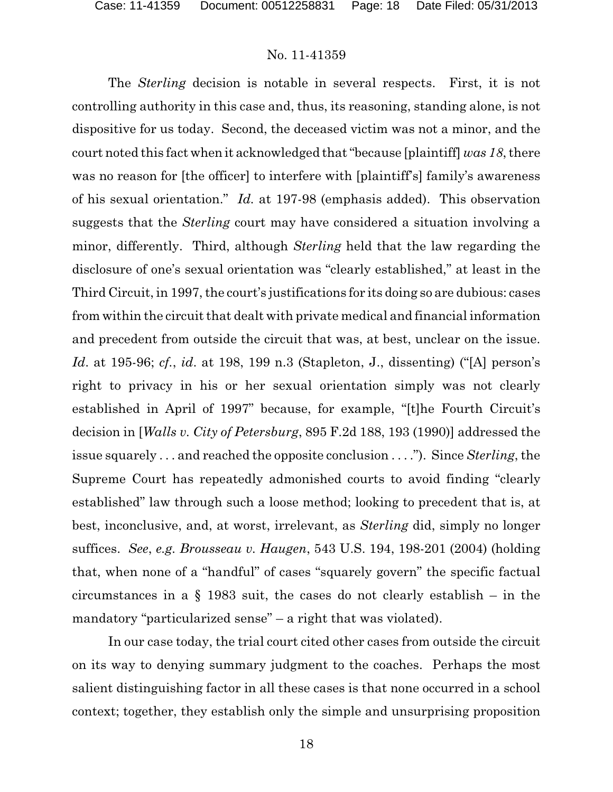The *Sterling* decision is notable in several respects. First, it is not controlling authority in this case and, thus, its reasoning, standing alone, is not dispositive for us today. Second, the deceased victim was not a minor, and the court noted this fact when it acknowledged that "because [plaintiff] *was 18*, there was no reason for [the officer] to interfere with [plaintiff's] family's awareness of his sexual orientation." *Id.* at 197-98 (emphasis added). This observation suggests that the *Sterling* court may have considered a situation involving a minor, differently. Third, although *Sterling* held that the law regarding the disclosure of one's sexual orientation was "clearly established," at least in the Third Circuit, in 1997, the court's justifications for its doing so are dubious: cases from within the circuit that dealt with private medical and financial information and precedent from outside the circuit that was, at best, unclear on the issue. *Id*. at 195-96; *cf.*, *id*. at 198, 199 n.3 (Stapleton, J., dissenting) ("[A] person's right to privacy in his or her sexual orientation simply was not clearly established in April of 1997" because, for example, "[t]he Fourth Circuit's decision in [*Walls v. City of Petersburg*, 895 F.2d 188, 193 (1990)] addressed the issue squarely . . . and reached the opposite conclusion . . . ."). Since *Sterling*, the Supreme Court has repeatedly admonished courts to avoid finding "clearly established" law through such a loose method; looking to precedent that is, at best, inconclusive, and, at worst, irrelevant, as *Sterling* did, simply no longer suffices. *See*, *e.g. Brousseau v. Haugen*, 543 U.S. 194, 198-201 (2004) (holding that, when none of a "handful" of cases "squarely govern" the specific factual circumstances in a  $\S$  1983 suit, the cases do not clearly establish – in the mandatory "particularized sense" – a right that was violated).

In our case today, the trial court cited other cases from outside the circuit on its way to denying summary judgment to the coaches. Perhaps the most salient distinguishing factor in all these cases is that none occurred in a school context; together, they establish only the simple and unsurprising proposition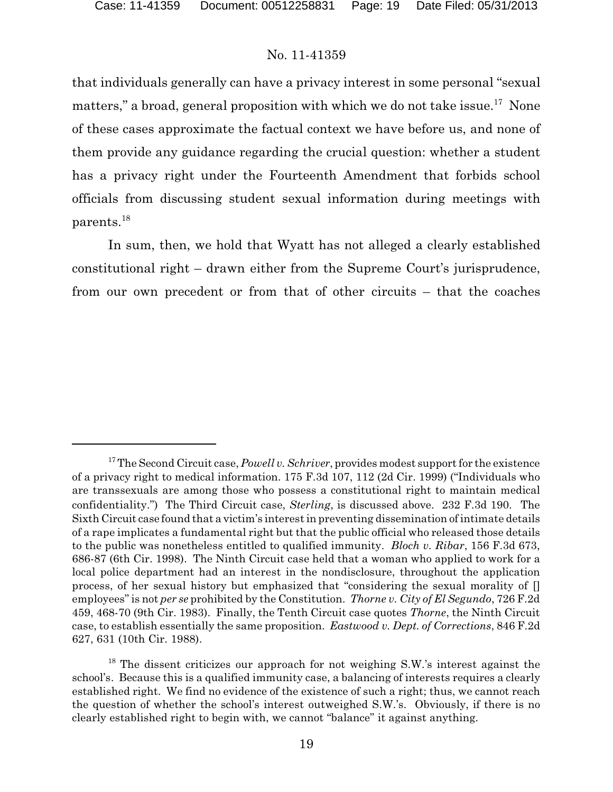that individuals generally can have a privacy interest in some personal "sexual matters," a broad, general proposition with which we do not take issue.<sup>17</sup> None of these cases approximate the factual context we have before us, and none of them provide any guidance regarding the crucial question: whether a student has a privacy right under the Fourteenth Amendment that forbids school officials from discussing student sexual information during meetings with parents.<sup>18</sup>

In sum, then, we hold that Wyatt has not alleged a clearly established constitutional right – drawn either from the Supreme Court's jurisprudence, from our own precedent or from that of other circuits – that the coaches

<sup>&</sup>lt;sup>17</sup>The Second Circuit case, *Powell v. Schriver*, provides modest support for the existence of a privacy right to medical information. 175 F.3d 107, 112 (2d Cir. 1999) ("Individuals who are transsexuals are among those who possess a constitutional right to maintain medical confidentiality.") The Third Circuit case, *Sterling*, is discussed above. 232 F.3d 190. The Sixth Circuit case found that a victim's interest in preventing dissemination of intimate details of a rape implicates a fundamental right but that the public official who released those details to the public was nonetheless entitled to qualified immunity. *Bloch v. Ribar*, 156 F.3d 673, 686-87 (6th Cir. 1998). The Ninth Circuit case held that a woman who applied to work for a local police department had an interest in the nondisclosure, throughout the application process, of her sexual history but emphasized that "considering the sexual morality of [] employees" is not *per se* prohibited by the Constitution. *Thorne v. City of El Segundo*, 726 F.2d 459, 468-70 (9th Cir. 1983). Finally, the Tenth Circuit case quotes *Thorne*, the Ninth Circuit case, to establish essentially the same proposition. *Eastwood v. Dept. of Corrections*, 846 F.2d 627, 631 (10th Cir. 1988).

<sup>&</sup>lt;sup>18</sup> The dissent criticizes our approach for not weighing S.W.'s interest against the school's. Because this is a qualified immunity case, a balancing of interests requires a clearly established right. We find no evidence of the existence of such a right; thus, we cannot reach the question of whether the school's interest outweighed S.W.'s. Obviously, if there is no clearly established right to begin with, we cannot "balance" it against anything.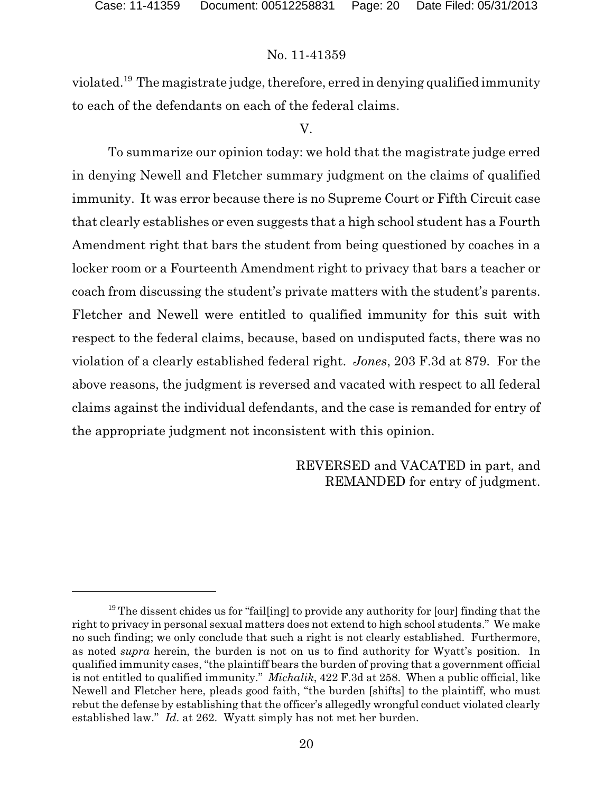violated.<sup>19</sup> The magistrate judge, therefore, erred in denying qualified immunity to each of the defendants on each of the federal claims.

#### V.

To summarize our opinion today: we hold that the magistrate judge erred in denying Newell and Fletcher summary judgment on the claims of qualified immunity. It was error because there is no Supreme Court or Fifth Circuit case that clearly establishes or even suggests that a high school student has a Fourth Amendment right that bars the student from being questioned by coaches in a locker room or a Fourteenth Amendment right to privacy that bars a teacher or coach from discussing the student's private matters with the student's parents. Fletcher and Newell were entitled to qualified immunity for this suit with respect to the federal claims, because, based on undisputed facts, there was no violation of a clearly established federal right. *Jones*, 203 F.3d at 879. For the above reasons, the judgment is reversed and vacated with respect to all federal claims against the individual defendants, and the case is remanded for entry of the appropriate judgment not inconsistent with this opinion.

> REVERSED and VACATED in part, and REMANDED for entry of judgment.

<sup>&</sup>lt;sup>19</sup> The dissent chides us for "fail[ing] to provide any authority for [our] finding that the right to privacy in personal sexual matters does not extend to high school students." We make no such finding; we only conclude that such a right is not clearly established. Furthermore, as noted *supra* herein, the burden is not on us to find authority for Wyatt's position. In qualified immunity cases, "the plaintiff bears the burden of proving that a government official is not entitled to qualified immunity." *Michalik*, 422 F.3d at 258. When a public official, like Newell and Fletcher here, pleads good faith, "the burden [shifts] to the plaintiff, who must rebut the defense by establishing that the officer's allegedly wrongful conduct violated clearly established law." *Id*. at 262. Wyatt simply has not met her burden.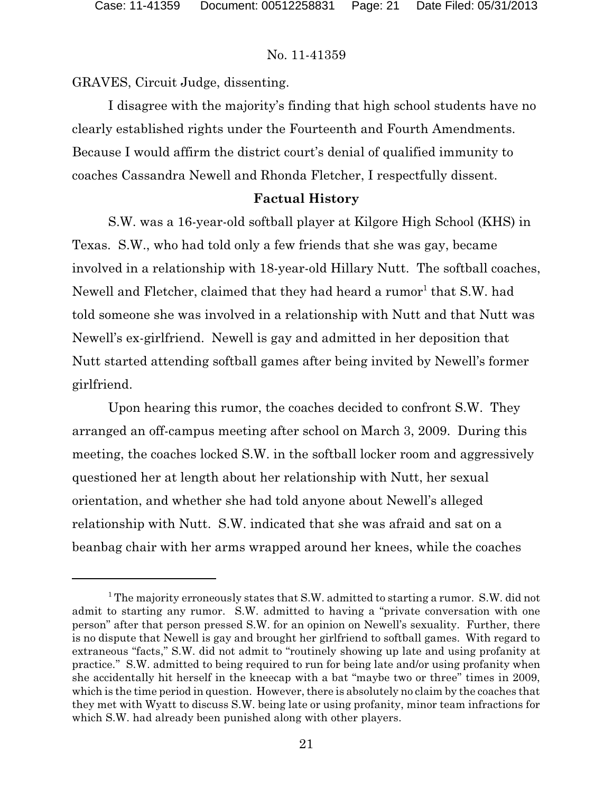GRAVES, Circuit Judge, dissenting.

I disagree with the majority's finding that high school students have no clearly established rights under the Fourteenth and Fourth Amendments. Because I would affirm the district court's denial of qualified immunity to coaches Cassandra Newell and Rhonda Fletcher, I respectfully dissent.

# **Factual History**

S.W. was a 16-year-old softball player at Kilgore High School (KHS) in Texas. S.W., who had told only a few friends that she was gay, became involved in a relationship with 18-year-old Hillary Nutt. The softball coaches, Newell and Fletcher, claimed that they had heard a rumor<sup>1</sup> that S.W. had told someone she was involved in a relationship with Nutt and that Nutt was Newell's ex-girlfriend. Newell is gay and admitted in her deposition that Nutt started attending softball games after being invited by Newell's former girlfriend.

Upon hearing this rumor, the coaches decided to confront S.W. They arranged an off-campus meeting after school on March 3, 2009. During this meeting, the coaches locked S.W. in the softball locker room and aggressively questioned her at length about her relationship with Nutt, her sexual orientation, and whether she had told anyone about Newell's alleged relationship with Nutt. S.W. indicated that she was afraid and sat on a beanbag chair with her arms wrapped around her knees, while the coaches

<sup>&</sup>lt;sup>1</sup> The majority erroneously states that S.W. admitted to starting a rumor. S.W. did not admit to starting any rumor. S.W. admitted to having a "private conversation with one person" after that person pressed S.W. for an opinion on Newell's sexuality. Further, there is no dispute that Newell is gay and brought her girlfriend to softball games. With regard to extraneous "facts," S.W. did not admit to "routinely showing up late and using profanity at practice." S.W. admitted to being required to run for being late and/or using profanity when she accidentally hit herself in the kneecap with a bat "maybe two or three" times in 2009, which is the time period in question. However, there is absolutely no claim by the coaches that they met with Wyatt to discuss S.W. being late or using profanity, minor team infractions for which S.W. had already been punished along with other players.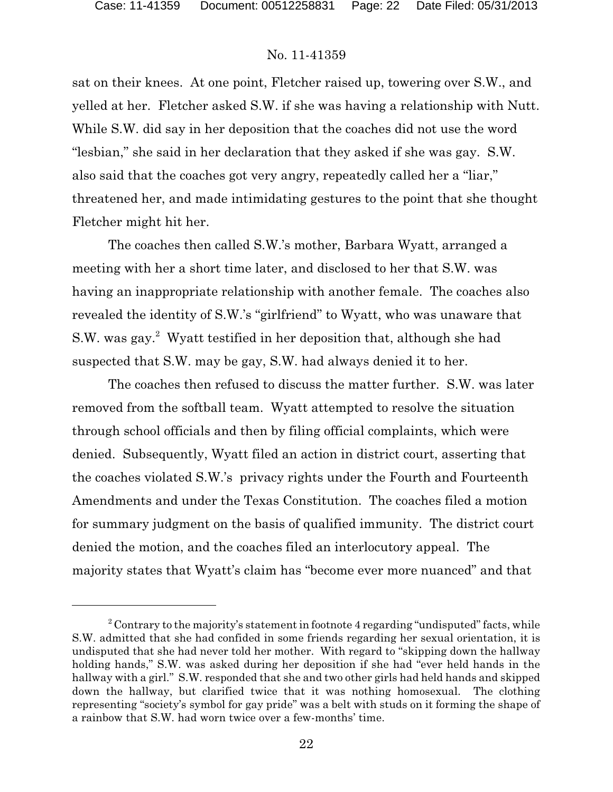sat on their knees. At one point, Fletcher raised up, towering over S.W., and yelled at her. Fletcher asked S.W. if she was having a relationship with Nutt. While S.W. did say in her deposition that the coaches did not use the word "lesbian," she said in her declaration that they asked if she was gay. S.W. also said that the coaches got very angry, repeatedly called her a "liar," threatened her, and made intimidating gestures to the point that she thought Fletcher might hit her.

The coaches then called S.W.'s mother, Barbara Wyatt, arranged a meeting with her a short time later, and disclosed to her that S.W. was having an inappropriate relationship with another female. The coaches also revealed the identity of S.W.'s "girlfriend" to Wyatt, who was unaware that S.W. was gay.<sup>2</sup> Wyatt testified in her deposition that, although she had suspected that S.W. may be gay, S.W. had always denied it to her.

The coaches then refused to discuss the matter further. S.W. was later removed from the softball team. Wyatt attempted to resolve the situation through school officials and then by filing official complaints, which were denied. Subsequently, Wyatt filed an action in district court, asserting that the coaches violated S.W.'s privacy rights under the Fourth and Fourteenth Amendments and under the Texas Constitution. The coaches filed a motion for summary judgment on the basis of qualified immunity. The district court denied the motion, and the coaches filed an interlocutory appeal. The majority states that Wyatt's claim has "become ever more nuanced" and that

 $2^2$  Contrary to the majority's statement in footnote 4 regarding "undisputed" facts, while S.W. admitted that she had confided in some friends regarding her sexual orientation, it is undisputed that she had never told her mother. With regard to "skipping down the hallway holding hands," S.W. was asked during her deposition if she had "ever held hands in the hallway with a girl." S.W. responded that she and two other girls had held hands and skipped down the hallway, but clarified twice that it was nothing homosexual. The clothing representing "society's symbol for gay pride" was a belt with studs on it forming the shape of a rainbow that S.W. had worn twice over a few-months' time.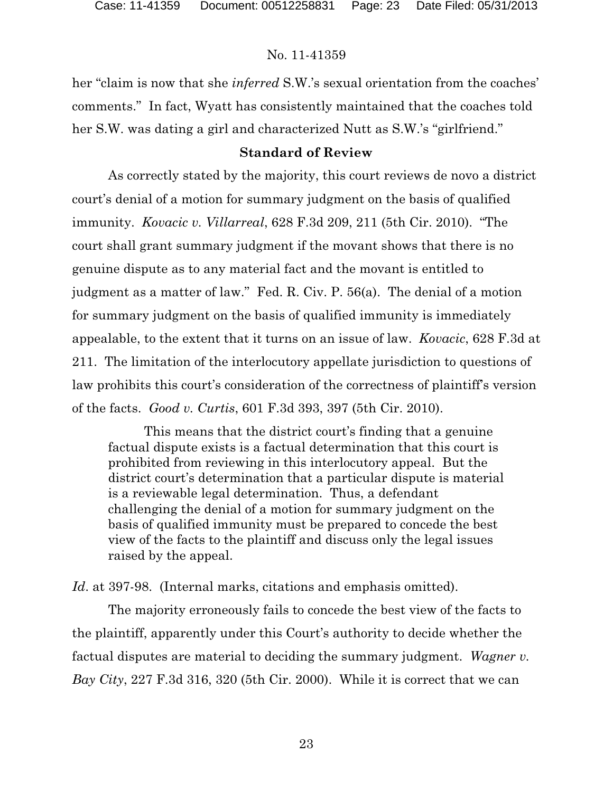her "claim is now that she *inferred* S.W.'s sexual orientation from the coaches' comments." In fact, Wyatt has consistently maintained that the coaches told her S.W. was dating a girl and characterized Nutt as S.W.'s "girlfriend."

### **Standard of Review**

As correctly stated by the majority, this court reviews de novo a district court's denial of a motion for summary judgment on the basis of qualified immunity. *Kovacic v. Villarreal*, 628 F.3d 209, 211 (5th Cir. 2010). "The court shall grant summary judgment if the movant shows that there is no genuine dispute as to any material fact and the movant is entitled to judgment as a matter of law." Fed. R. Civ. P. 56(a). The denial of a motion for summary judgment on the basis of qualified immunity is immediately appealable, to the extent that it turns on an issue of law. *Kovacic*, 628 F.3d at 211. The limitation of the interlocutory appellate jurisdiction to questions of law prohibits this court's consideration of the correctness of plaintiff's version of the facts. *Good v. Curtis*, 601 F.3d 393, 397 (5th Cir. 2010).

This means that the district court's finding that a genuine factual dispute exists is a factual determination that this court is prohibited from reviewing in this interlocutory appeal. But the district court's determination that a particular dispute is material is a reviewable legal determination. Thus, a defendant challenging the denial of a motion for summary judgment on the basis of qualified immunity must be prepared to concede the best view of the facts to the plaintiff and discuss only the legal issues raised by the appeal.

*Id*. at 397-98. (Internal marks, citations and emphasis omitted).

The majority erroneously fails to concede the best view of the facts to the plaintiff, apparently under this Court's authority to decide whether the factual disputes are material to deciding the summary judgment. *Wagner v. Bay City*, 227 F.3d 316, 320 (5th Cir. 2000). While it is correct that we can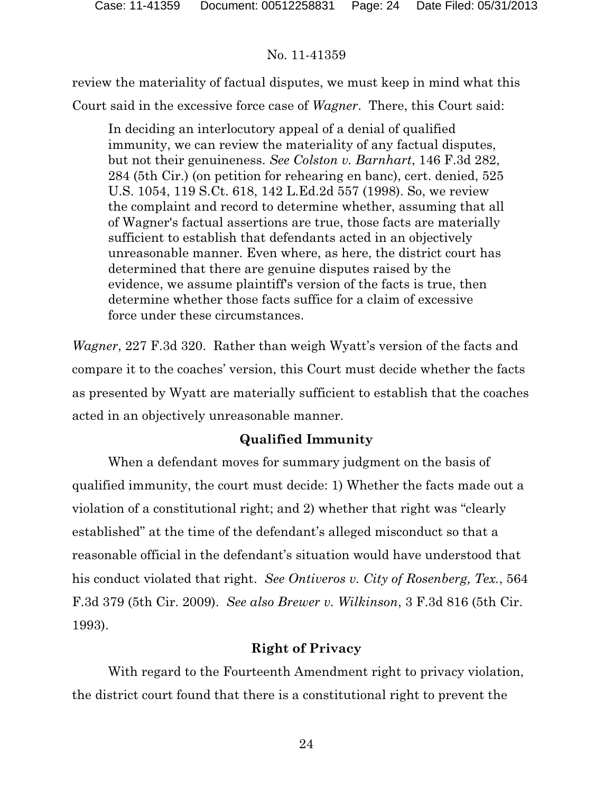review the materiality of factual disputes, we must keep in mind what this Court said in the excessive force case of *Wagner*. There, this Court said:

In deciding an interlocutory appeal of a denial of qualified immunity, we can review the materiality of any factual disputes, but not their genuineness. *See Colston v. Barnhart*, 146 F.3d 282, 284 (5th Cir.) (on petition for rehearing en banc), cert. denied, 525 U.S. 1054, 119 S.Ct. 618, 142 L.Ed.2d 557 (1998). So, we review the complaint and record to determine whether, assuming that all of Wagner's factual assertions are true, those facts are materially sufficient to establish that defendants acted in an objectively unreasonable manner. Even where, as here, the district court has determined that there are genuine disputes raised by the evidence, we assume plaintiff's version of the facts is true, then determine whether those facts suffice for a claim of excessive force under these circumstances.

*Wagner*, 227 F.3d 320. Rather than weigh Wyatt's version of the facts and compare it to the coaches' version, this Court must decide whether the facts as presented by Wyatt are materially sufficient to establish that the coaches acted in an objectively unreasonable manner.

# **Qualified Immunity**

When a defendant moves for summary judgment on the basis of qualified immunity, the court must decide: 1) Whether the facts made out a violation of a constitutional right; and 2) whether that right was "clearly established" at the time of the defendant's alleged misconduct so that a reasonable official in the defendant's situation would have understood that his conduct violated that right. *See Ontiveros v. City of Rosenberg, Tex.*, 564 F.3d 379 (5th Cir. 2009). *See also Brewer v. Wilkinson*, 3 F.3d 816 (5th Cir. 1993).

# **Right of Privacy**

With regard to the Fourteenth Amendment right to privacy violation, the district court found that there is a constitutional right to prevent the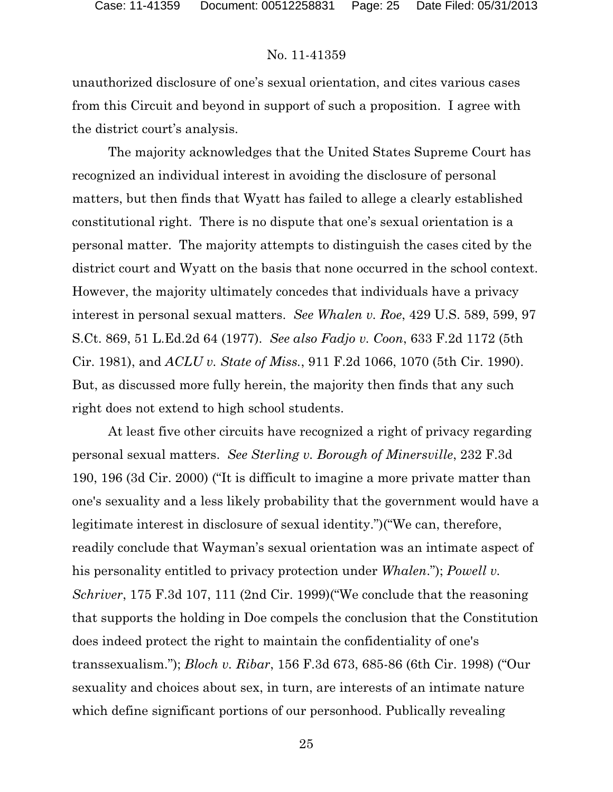unauthorized disclosure of one's sexual orientation, and cites various cases from this Circuit and beyond in support of such a proposition. I agree with the district court's analysis.

The majority acknowledges that the United States Supreme Court has recognized an individual interest in avoiding the disclosure of personal matters, but then finds that Wyatt has failed to allege a clearly established constitutional right. There is no dispute that one's sexual orientation is a personal matter. The majority attempts to distinguish the cases cited by the district court and Wyatt on the basis that none occurred in the school context. However, the majority ultimately concedes that individuals have a privacy interest in personal sexual matters. *See Whalen v. Roe*, 429 U.S. 589, 599, 97 S.Ct. 869, 51 L.Ed.2d 64 (1977). *See also Fadjo v. Coon*, 633 F.2d 1172 (5th Cir. 1981), and *ACLU v. State of Miss.*, 911 F.2d 1066, 1070 (5th Cir. 1990). But, as discussed more fully herein, the majority then finds that any such right does not extend to high school students.

At least five other circuits have recognized a right of privacy regarding personal sexual matters. *See Sterling v. Borough of Minersville*, 232 F.3d 190, 196 (3d Cir. 2000) ("It is difficult to imagine a more private matter than one's sexuality and a less likely probability that the government would have a legitimate interest in disclosure of sexual identity.")("We can, therefore, readily conclude that Wayman's sexual orientation was an intimate aspect of his personality entitled to privacy protection under *Whalen*."); *Powell v. Schriver*, 175 F.3d 107, 111 (2nd Cir. 1999)("We conclude that the reasoning that supports the holding in Doe compels the conclusion that the Constitution does indeed protect the right to maintain the confidentiality of one's transsexualism."); *Bloch v. Ribar*, 156 F.3d 673, 685-86 (6th Cir. 1998) ("Our sexuality and choices about sex, in turn, are interests of an intimate nature which define significant portions of our personhood. Publically revealing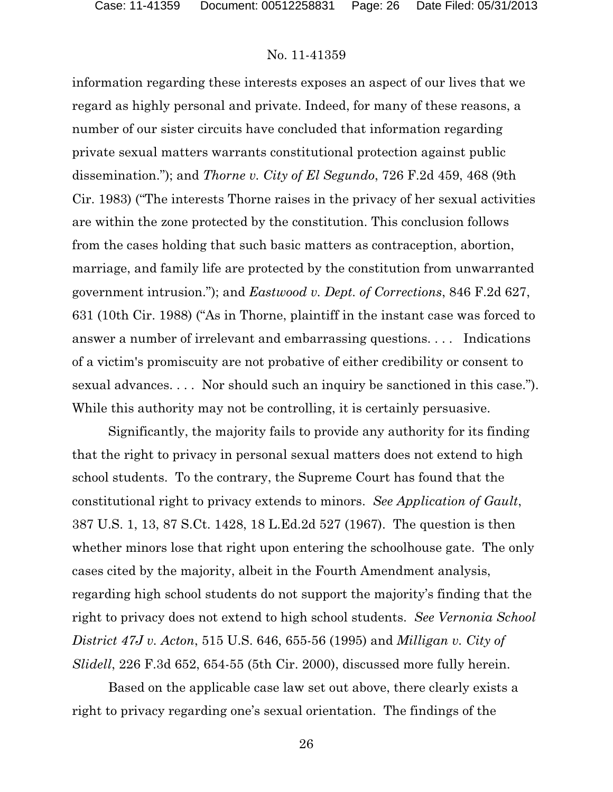information regarding these interests exposes an aspect of our lives that we regard as highly personal and private. Indeed, for many of these reasons, a number of our sister circuits have concluded that information regarding private sexual matters warrants constitutional protection against public dissemination."); and *Thorne v. City of El Segundo*, 726 F.2d 459, 468 (9th Cir. 1983) ("The interests Thorne raises in the privacy of her sexual activities are within the zone protected by the constitution. This conclusion follows from the cases holding that such basic matters as contraception, abortion, marriage, and family life are protected by the constitution from unwarranted government intrusion."); and *Eastwood v. Dept. of Corrections*, 846 F.2d 627, 631 (10th Cir. 1988) ("As in Thorne, plaintiff in the instant case was forced to answer a number of irrelevant and embarrassing questions. . . . Indications of a victim's promiscuity are not probative of either credibility or consent to sexual advances. . . . Nor should such an inquiry be sanctioned in this case."). While this authority may not be controlling, it is certainly persuasive.

Significantly, the majority fails to provide any authority for its finding that the right to privacy in personal sexual matters does not extend to high school students. To the contrary, the Supreme Court has found that the constitutional right to privacy extends to minors. *See Application of Gault*, 387 U.S. 1, 13, 87 S.Ct. 1428, 18 L.Ed.2d 527 (1967). The question is then whether minors lose that right upon entering the schoolhouse gate. The only cases cited by the majority, albeit in the Fourth Amendment analysis, regarding high school students do not support the majority's finding that the right to privacy does not extend to high school students. *See Vernonia School District 47J v. Acton*, 515 U.S. 646, 655-56 (1995) and *Milligan v. City of Slidell*, 226 F.3d 652, 654-55 (5th Cir. 2000), discussed more fully herein.

Based on the applicable case law set out above, there clearly exists a right to privacy regarding one's sexual orientation. The findings of the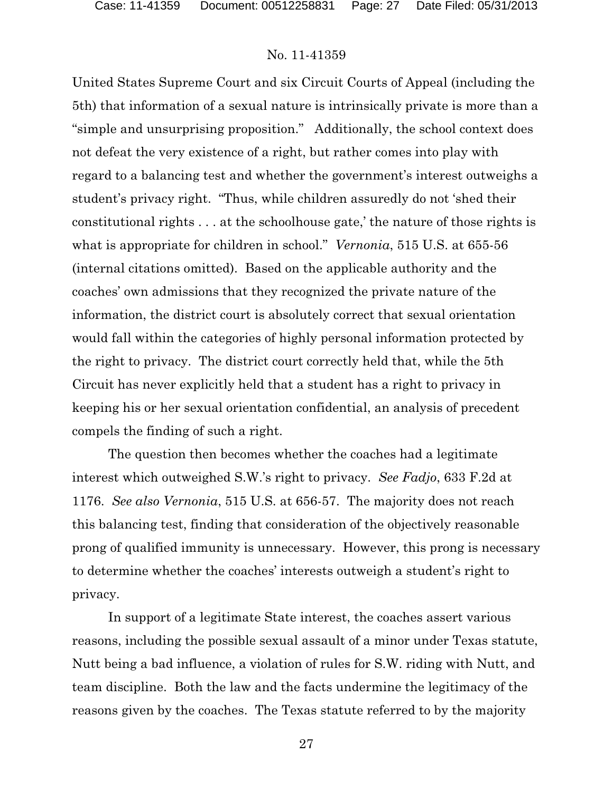United States Supreme Court and six Circuit Courts of Appeal (including the 5th) that information of a sexual nature is intrinsically private is more than a "simple and unsurprising proposition." Additionally, the school context does not defeat the very existence of a right, but rather comes into play with regard to a balancing test and whether the government's interest outweighs a student's privacy right. "Thus, while children assuredly do not 'shed their constitutional rights . . . at the schoolhouse gate,' the nature of those rights is what is appropriate for children in school." *Vernonia*, 515 U.S. at 655-56 (internal citations omitted). Based on the applicable authority and the coaches' own admissions that they recognized the private nature of the information, the district court is absolutely correct that sexual orientation would fall within the categories of highly personal information protected by the right to privacy. The district court correctly held that, while the 5th Circuit has never explicitly held that a student has a right to privacy in keeping his or her sexual orientation confidential, an analysis of precedent compels the finding of such a right.

The question then becomes whether the coaches had a legitimate interest which outweighed S.W.'s right to privacy. *See Fadjo*, 633 F.2d at 1176. *See also Vernonia*, 515 U.S. at 656-57. The majority does not reach this balancing test, finding that consideration of the objectively reasonable prong of qualified immunity is unnecessary. However, this prong is necessary to determine whether the coaches' interests outweigh a student's right to privacy.

In support of a legitimate State interest, the coaches assert various reasons, including the possible sexual assault of a minor under Texas statute, Nutt being a bad influence, a violation of rules for S.W. riding with Nutt, and team discipline. Both the law and the facts undermine the legitimacy of the reasons given by the coaches. The Texas statute referred to by the majority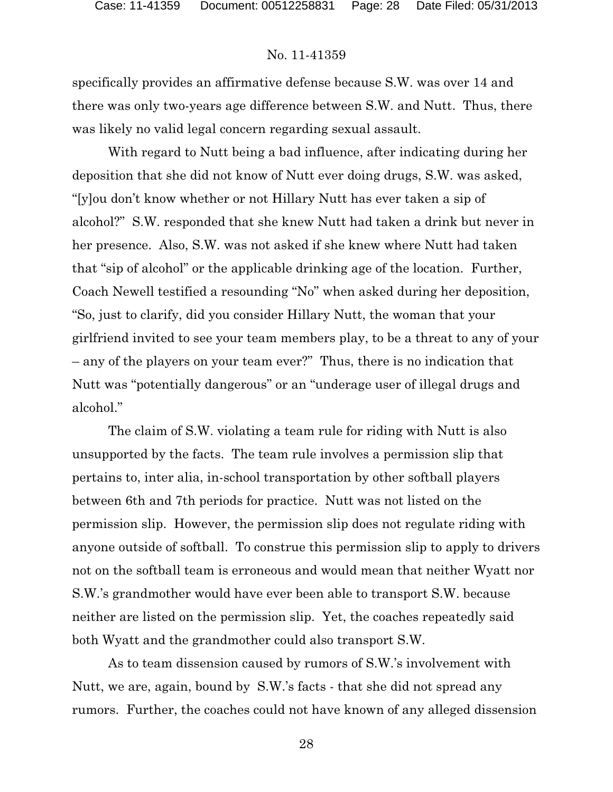specifically provides an affirmative defense because S.W. was over 14 and there was only two-years age difference between S.W. and Nutt. Thus, there was likely no valid legal concern regarding sexual assault.

With regard to Nutt being a bad influence, after indicating during her deposition that she did not know of Nutt ever doing drugs, S.W. was asked, "[y]ou don't know whether or not Hillary Nutt has ever taken a sip of alcohol?" S.W. responded that she knew Nutt had taken a drink but never in her presence. Also, S.W. was not asked if she knew where Nutt had taken that "sip of alcohol" or the applicable drinking age of the location. Further, Coach Newell testified a resounding "No" when asked during her deposition, "So, just to clarify, did you consider Hillary Nutt, the woman that your girlfriend invited to see your team members play, to be a threat to any of your – any of the players on your team ever?" Thus, there is no indication that Nutt was "potentially dangerous" or an "underage user of illegal drugs and alcohol."

The claim of S.W. violating a team rule for riding with Nutt is also unsupported by the facts. The team rule involves a permission slip that pertains to, inter alia, in-school transportation by other softball players between 6th and 7th periods for practice. Nutt was not listed on the permission slip. However, the permission slip does not regulate riding with anyone outside of softball. To construe this permission slip to apply to drivers not on the softball team is erroneous and would mean that neither Wyatt nor S.W.'s grandmother would have ever been able to transport S.W. because neither are listed on the permission slip. Yet, the coaches repeatedly said both Wyatt and the grandmother could also transport S.W.

As to team dissension caused by rumors of S.W.'s involvement with Nutt, we are, again, bound by S.W.'s facts - that she did not spread any rumors. Further, the coaches could not have known of any alleged dissension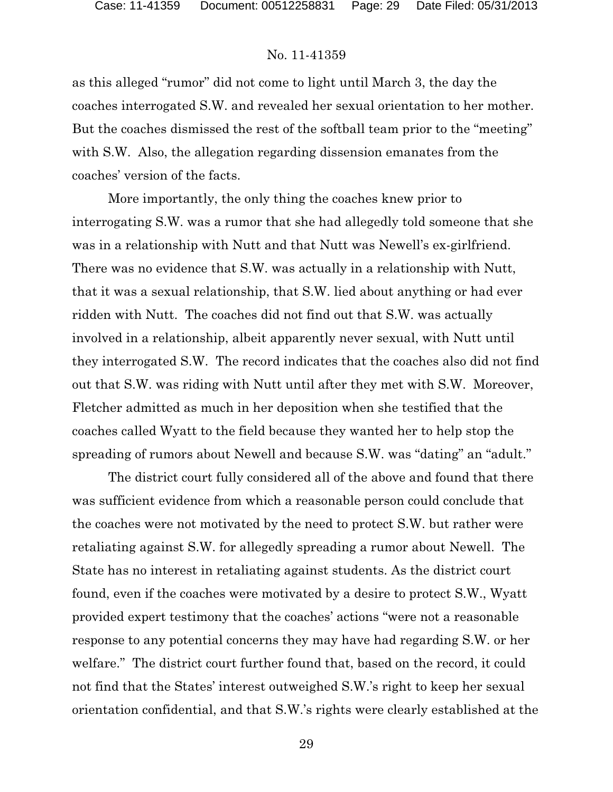as this alleged "rumor" did not come to light until March 3, the day the coaches interrogated S.W. and revealed her sexual orientation to her mother. But the coaches dismissed the rest of the softball team prior to the "meeting" with S.W. Also, the allegation regarding dissension emanates from the coaches' version of the facts.

More importantly, the only thing the coaches knew prior to interrogating S.W. was a rumor that she had allegedly told someone that she was in a relationship with Nutt and that Nutt was Newell's ex-girlfriend. There was no evidence that S.W. was actually in a relationship with Nutt, that it was a sexual relationship, that S.W. lied about anything or had ever ridden with Nutt. The coaches did not find out that S.W. was actually involved in a relationship, albeit apparently never sexual, with Nutt until they interrogated S.W. The record indicates that the coaches also did not find out that S.W. was riding with Nutt until after they met with S.W. Moreover, Fletcher admitted as much in her deposition when she testified that the coaches called Wyatt to the field because they wanted her to help stop the spreading of rumors about Newell and because S.W. was "dating" an "adult."

The district court fully considered all of the above and found that there was sufficient evidence from which a reasonable person could conclude that the coaches were not motivated by the need to protect S.W. but rather were retaliating against S.W. for allegedly spreading a rumor about Newell. The State has no interest in retaliating against students. As the district court found, even if the coaches were motivated by a desire to protect S.W., Wyatt provided expert testimony that the coaches' actions "were not a reasonable response to any potential concerns they may have had regarding S.W. or her welfare." The district court further found that, based on the record, it could not find that the States' interest outweighed S.W.'s right to keep her sexual orientation confidential, and that S.W.'s rights were clearly established at the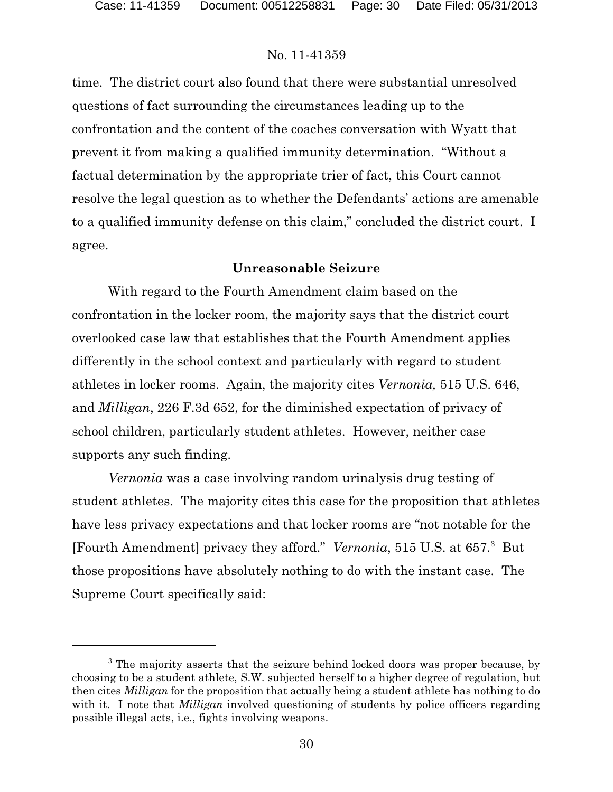time. The district court also found that there were substantial unresolved questions of fact surrounding the circumstances leading up to the confrontation and the content of the coaches conversation with Wyatt that prevent it from making a qualified immunity determination. "Without a factual determination by the appropriate trier of fact, this Court cannot resolve the legal question as to whether the Defendants' actions are amenable to a qualified immunity defense on this claim," concluded the district court. I agree.

#### **Unreasonable Seizure**

With regard to the Fourth Amendment claim based on the confrontation in the locker room, the majority says that the district court overlooked case law that establishes that the Fourth Amendment applies differently in the school context and particularly with regard to student athletes in locker rooms. Again, the majority cites *Vernonia,* 515 U.S. 646, and *Milligan*, 226 F.3d 652, for the diminished expectation of privacy of school children, particularly student athletes. However, neither case supports any such finding.

*Vernonia* was a case involving random urinalysis drug testing of student athletes. The majority cites this case for the proposition that athletes have less privacy expectations and that locker rooms are "not notable for the [Fourth Amendment] privacy they afford." Vernonia, 515 U.S. at 657.<sup>3</sup> But those propositions have absolutely nothing to do with the instant case. The Supreme Court specifically said:

<sup>&</sup>lt;sup>3</sup> The majority asserts that the seizure behind locked doors was proper because, by choosing to be a student athlete, S.W. subjected herself to a higher degree of regulation, but then cites *Milligan* for the proposition that actually being a student athlete has nothing to do with it. I note that *Milligan* involved questioning of students by police officers regarding possible illegal acts, i.e., fights involving weapons.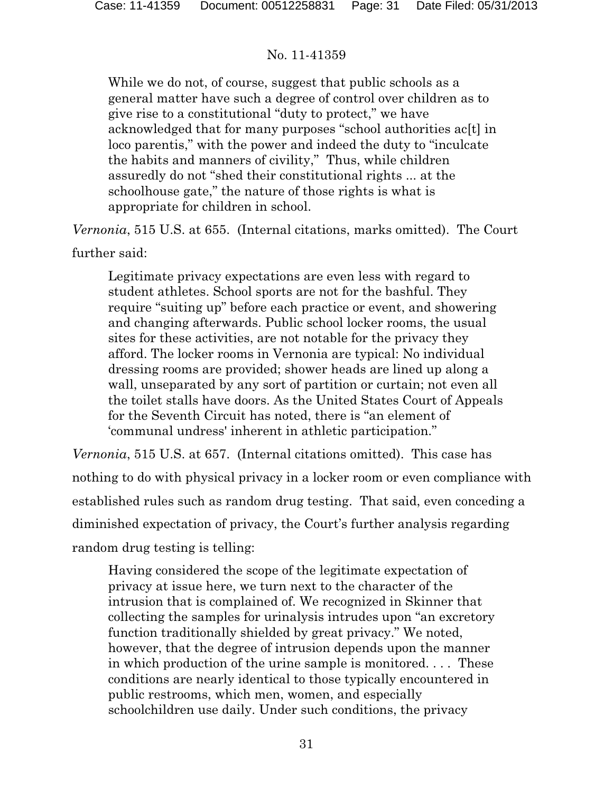While we do not, of course, suggest that public schools as a general matter have such a degree of control over children as to give rise to a constitutional "duty to protect," we have acknowledged that for many purposes "school authorities ac[t] in loco parentis," with the power and indeed the duty to "inculcate the habits and manners of civility," Thus, while children assuredly do not "shed their constitutional rights ... at the schoolhouse gate," the nature of those rights is what is appropriate for children in school.

*Vernonia*, 515 U.S. at 655. (Internal citations, marks omitted). The Court

further said:

Legitimate privacy expectations are even less with regard to student athletes. School sports are not for the bashful. They require "suiting up" before each practice or event, and showering and changing afterwards. Public school locker rooms, the usual sites for these activities, are not notable for the privacy they afford. The locker rooms in Vernonia are typical: No individual dressing rooms are provided; shower heads are lined up along a wall, unseparated by any sort of partition or curtain; not even all the toilet stalls have doors. As the United States Court of Appeals for the Seventh Circuit has noted, there is "an element of 'communal undress' inherent in athletic participation."

*Vernonia*, 515 U.S. at 657. (Internal citations omitted). This case has nothing to do with physical privacy in a locker room or even compliance with established rules such as random drug testing. That said, even conceding a diminished expectation of privacy, the Court's further analysis regarding random drug testing is telling:

Having considered the scope of the legitimate expectation of privacy at issue here, we turn next to the character of the intrusion that is complained of. We recognized in Skinner that collecting the samples for urinalysis intrudes upon "an excretory function traditionally shielded by great privacy." We noted, however, that the degree of intrusion depends upon the manner in which production of the urine sample is monitored. . . . These conditions are nearly identical to those typically encountered in public restrooms, which men, women, and especially schoolchildren use daily. Under such conditions, the privacy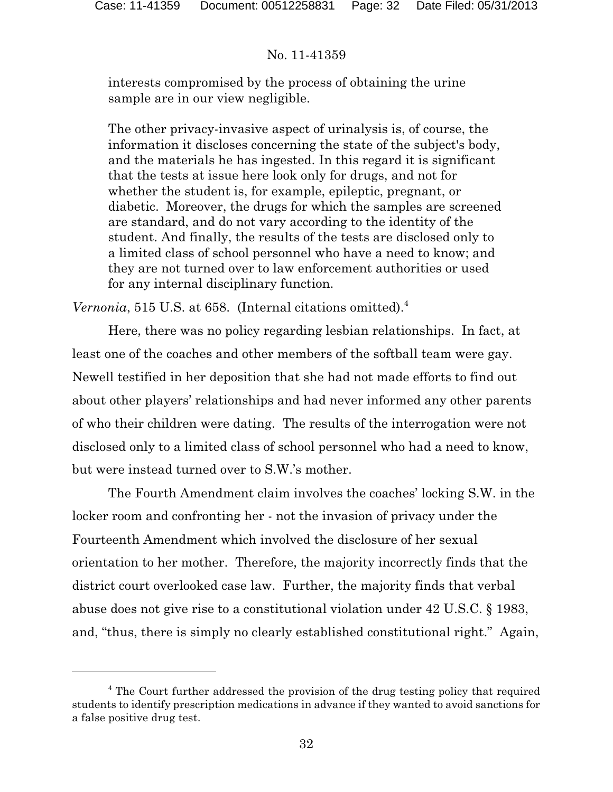interests compromised by the process of obtaining the urine sample are in our view negligible.

The other privacy-invasive aspect of urinalysis is, of course, the information it discloses concerning the state of the subject's body, and the materials he has ingested. In this regard it is significant that the tests at issue here look only for drugs, and not for whether the student is, for example, epileptic, pregnant, or diabetic. Moreover, the drugs for which the samples are screened are standard, and do not vary according to the identity of the student. And finally, the results of the tests are disclosed only to a limited class of school personnel who have a need to know; and they are not turned over to law enforcement authorities or used for any internal disciplinary function.

*Vernonia*, 515 U.S. at 658. (Internal citations omitted).<sup>4</sup>

Here, there was no policy regarding lesbian relationships. In fact, at least one of the coaches and other members of the softball team were gay. Newell testified in her deposition that she had not made efforts to find out about other players' relationships and had never informed any other parents of who their children were dating. The results of the interrogation were not disclosed only to a limited class of school personnel who had a need to know, but were instead turned over to S.W.'s mother.

The Fourth Amendment claim involves the coaches' locking S.W. in the locker room and confronting her - not the invasion of privacy under the Fourteenth Amendment which involved the disclosure of her sexual orientation to her mother. Therefore, the majority incorrectly finds that the district court overlooked case law. Further, the majority finds that verbal abuse does not give rise to a constitutional violation under 42 U.S.C. § 1983, and, "thus, there is simply no clearly established constitutional right." Again,

<sup>&</sup>lt;sup>4</sup> The Court further addressed the provision of the drug testing policy that required students to identify prescription medications in advance if they wanted to avoid sanctions for a false positive drug test.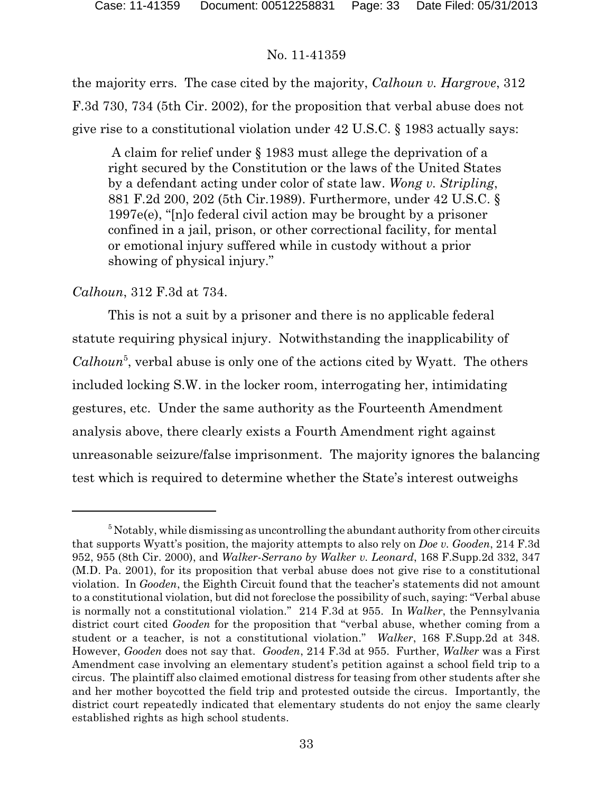the majority errs. The case cited by the majority, *Calhoun v. Hargrove*, 312 F.3d 730, 734 (5th Cir. 2002), for the proposition that verbal abuse does not give rise to a constitutional violation under 42 U.S.C. § 1983 actually says:

 A claim for relief under § 1983 must allege the deprivation of a right secured by the Constitution or the laws of the United States by a defendant acting under color of state law. *Wong v. Stripling*, 881 F.2d 200, 202 (5th Cir.1989). Furthermore, under 42 U.S.C. § 1997e(e), "[n]o federal civil action may be brought by a prisoner confined in a jail, prison, or other correctional facility, for mental or emotional injury suffered while in custody without a prior showing of physical injury."

# *Calhoun*, 312 F.3d at 734.

This is not a suit by a prisoner and there is no applicable federal statute requiring physical injury. Notwithstanding the inapplicability of Calhoun<sup>5</sup>, verbal abuse is only one of the actions cited by Wyatt. The others included locking S.W. in the locker room, interrogating her, intimidating gestures, etc. Under the same authority as the Fourteenth Amendment analysis above, there clearly exists a Fourth Amendment right against unreasonable seizure/false imprisonment. The majority ignores the balancing test which is required to determine whether the State's interest outweighs

 $5$  Notably, while dismissing as uncontrolling the abundant authority from other circuits that supports Wyatt's position, the majority attempts to also rely on *Doe v. Gooden*, 214 F.3d 952, 955 (8th Cir. 2000), and *Walker-Serrano by Walker v. Leonard*, 168 F.Supp.2d 332, 347 (M.D. Pa. 2001), for its proposition that verbal abuse does not give rise to a constitutional violation. In *Gooden*, the Eighth Circuit found that the teacher's statements did not amount to a constitutional violation, but did not foreclose the possibility of such, saying: "Verbal abuse is normally not a constitutional violation." 214 F.3d at 955. In *Walker*, the Pennsylvania district court cited *Gooden* for the proposition that "verbal abuse, whether coming from a student or a teacher, is not a constitutional violation." *Walker*, 168 F.Supp.2d at 348. However, *Gooden* does not say that. *Gooden*, 214 F.3d at 955. Further, *Walker* was a First Amendment case involving an elementary student's petition against a school field trip to a circus. The plaintiff also claimed emotional distress for teasing from other students after she and her mother boycotted the field trip and protested outside the circus. Importantly, the district court repeatedly indicated that elementary students do not enjoy the same clearly established rights as high school students.